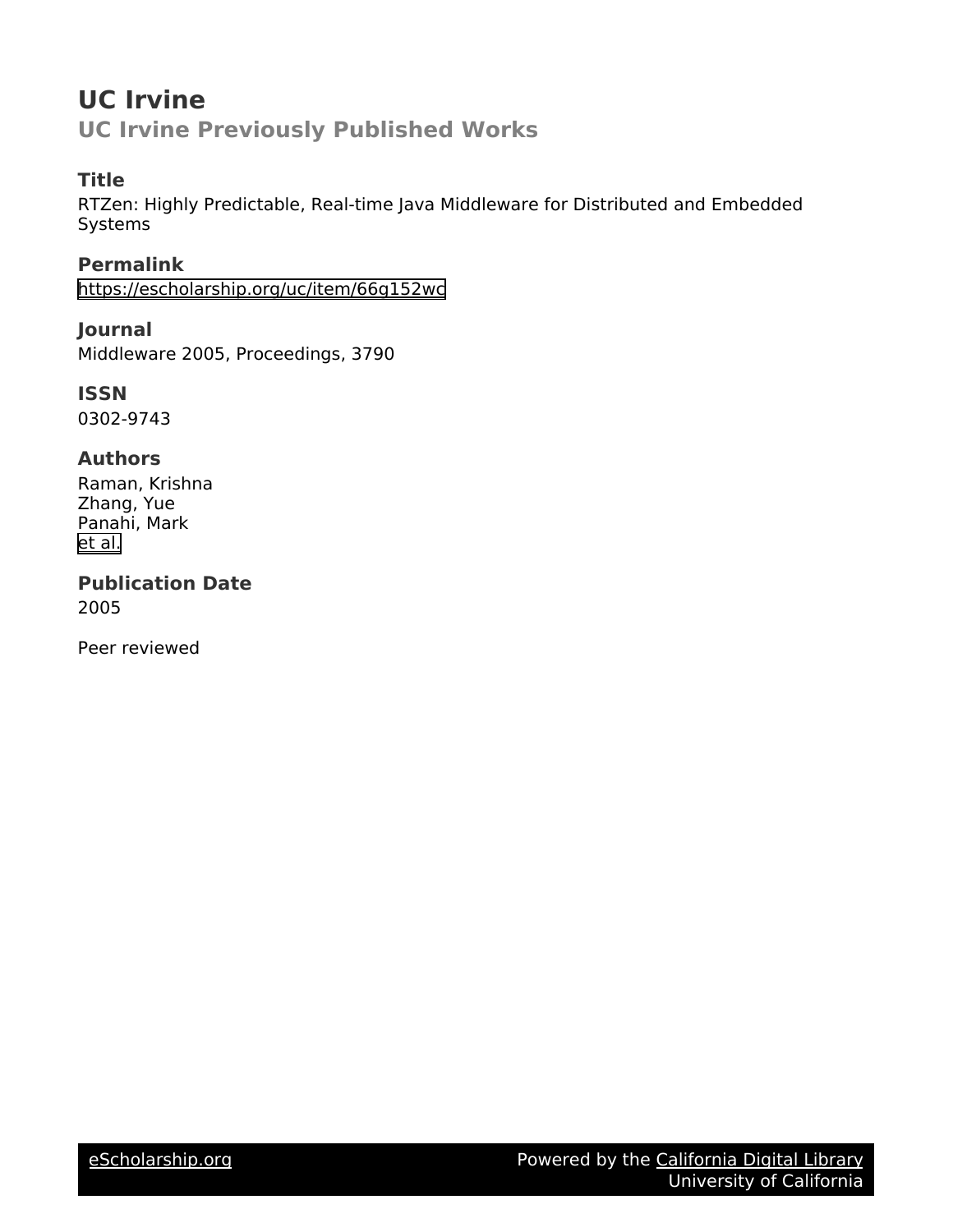# **UC Irvine UC Irvine Previously Published Works**

# **Title**

RTZen: Highly Predictable, Real-time Java Middleware for Distributed and Embedded Systems

**Permalink** <https://escholarship.org/uc/item/66g152wc>

**Journal** Middleware 2005, Proceedings, 3790

**ISSN** 0302-9743

# **Authors**

Raman, Krishna Zhang, Yue Panahi, Mark [et al.](https://escholarship.org/uc/item/66g152wc#author)

**Publication Date** 2005

Peer reviewed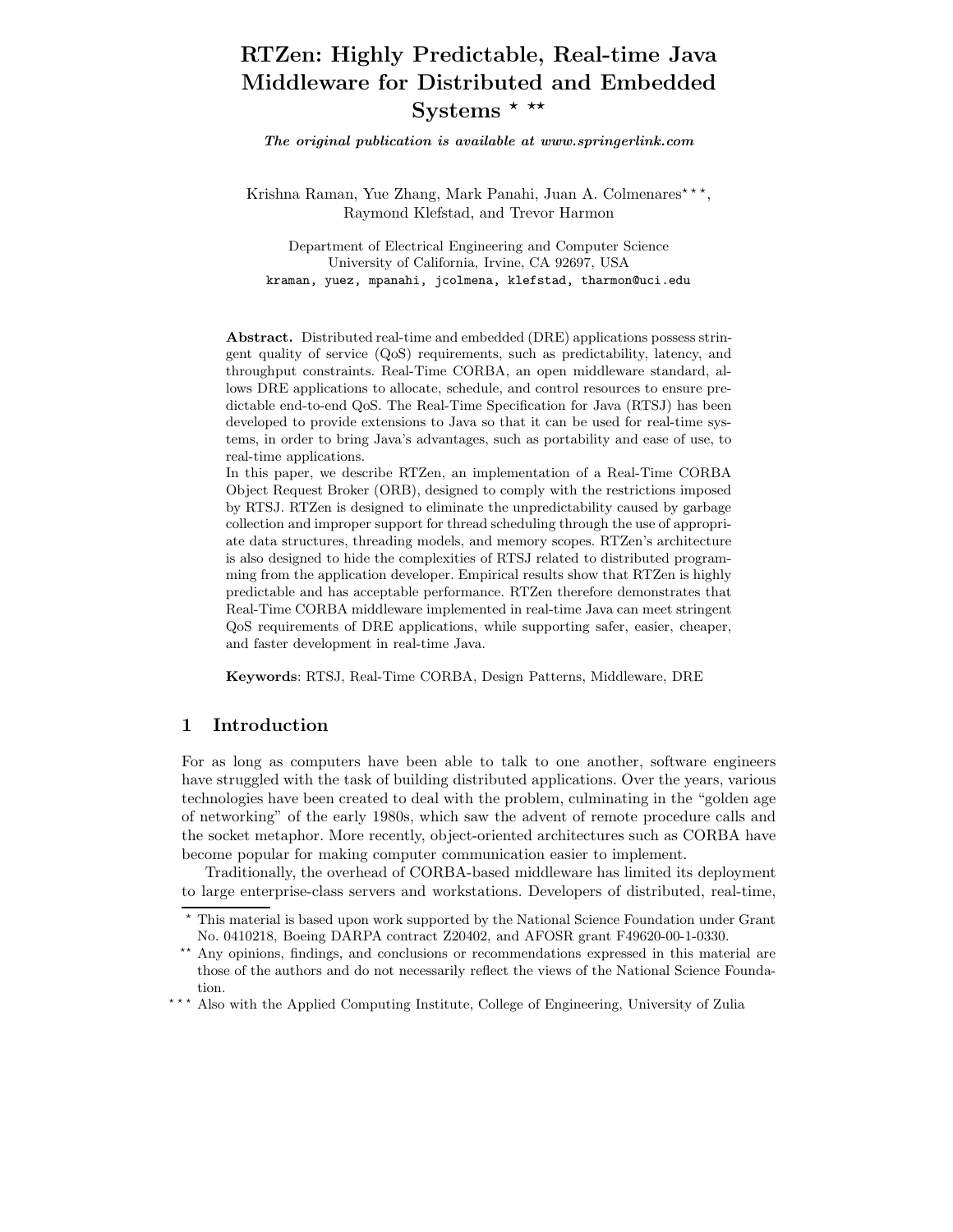# RTZen: Highly Predictable, Real-time Java Middleware for Distributed and Embedded Systems  $*$  \*\*

The original publication is available at www.springerlink.com

Krishna Raman, Yue Zhang, Mark Panahi, Juan A. Colmenares<sup>\*\*\*</sup>, Raymond Klefstad, and Trevor Harmon

Department of Electrical Engineering and Computer Science University of California, Irvine, CA 92697, USA kraman, yuez, mpanahi, jcolmena, klefstad, tharmon@uci.edu

Abstract. Distributed real-time and embedded (DRE) applications possess stringent quality of service (QoS) requirements, such as predictability, latency, and throughput constraints. Real-Time CORBA, an open middleware standard, allows DRE applications to allocate, schedule, and control resources to ensure predictable end-to-end QoS. The Real-Time Specification for Java (RTSJ) has been developed to provide extensions to Java so that it can be used for real-time systems, in order to bring Java's advantages, such as portability and ease of use, to real-time applications.

In this paper, we describe RTZen, an implementation of a Real-Time CORBA Object Request Broker (ORB), designed to comply with the restrictions imposed by RTSJ. RTZen is designed to eliminate the unpredictability caused by garbage collection and improper support for thread scheduling through the use of appropriate data structures, threading models, and memory scopes. RTZen's architecture is also designed to hide the complexities of RTSJ related to distributed programming from the application developer. Empirical results show that RTZen is highly predictable and has acceptable performance. RTZen therefore demonstrates that Real-Time CORBA middleware implemented in real-time Java can meet stringent QoS requirements of DRE applications, while supporting safer, easier, cheaper, and faster development in real-time Java.

Keywords: RTSJ, Real-Time CORBA, Design Patterns, Middleware, DRE

# 1 Introduction

For as long as computers have been able to talk to one another, software engineers have struggled with the task of building distributed applications. Over the years, various technologies have been created to deal with the problem, culminating in the "golden age of networking" of the early 1980s, which saw the advent of remote procedure calls and the socket metaphor. More recently, object-oriented architectures such as CORBA have become popular for making computer communication easier to implement.

Traditionally, the overhead of CORBA-based middleware has limited its deployment to large enterprise-class servers and workstations. Developers of distributed, real-time,

<sup>?</sup> This material is based upon work supported by the National Science Foundation under Grant No. 0410218, Boeing DARPA contract Z20402, and AFOSR grant F49620-00-1-0330.

<sup>\*\*</sup> Any opinions, findings, and conclusions or recommendations expressed in this material are those of the authors and do not necessarily reflect the views of the National Science Foundation.

<sup>\*\*\*</sup> Also with the Applied Computing Institute, College of Engineering, University of Zulia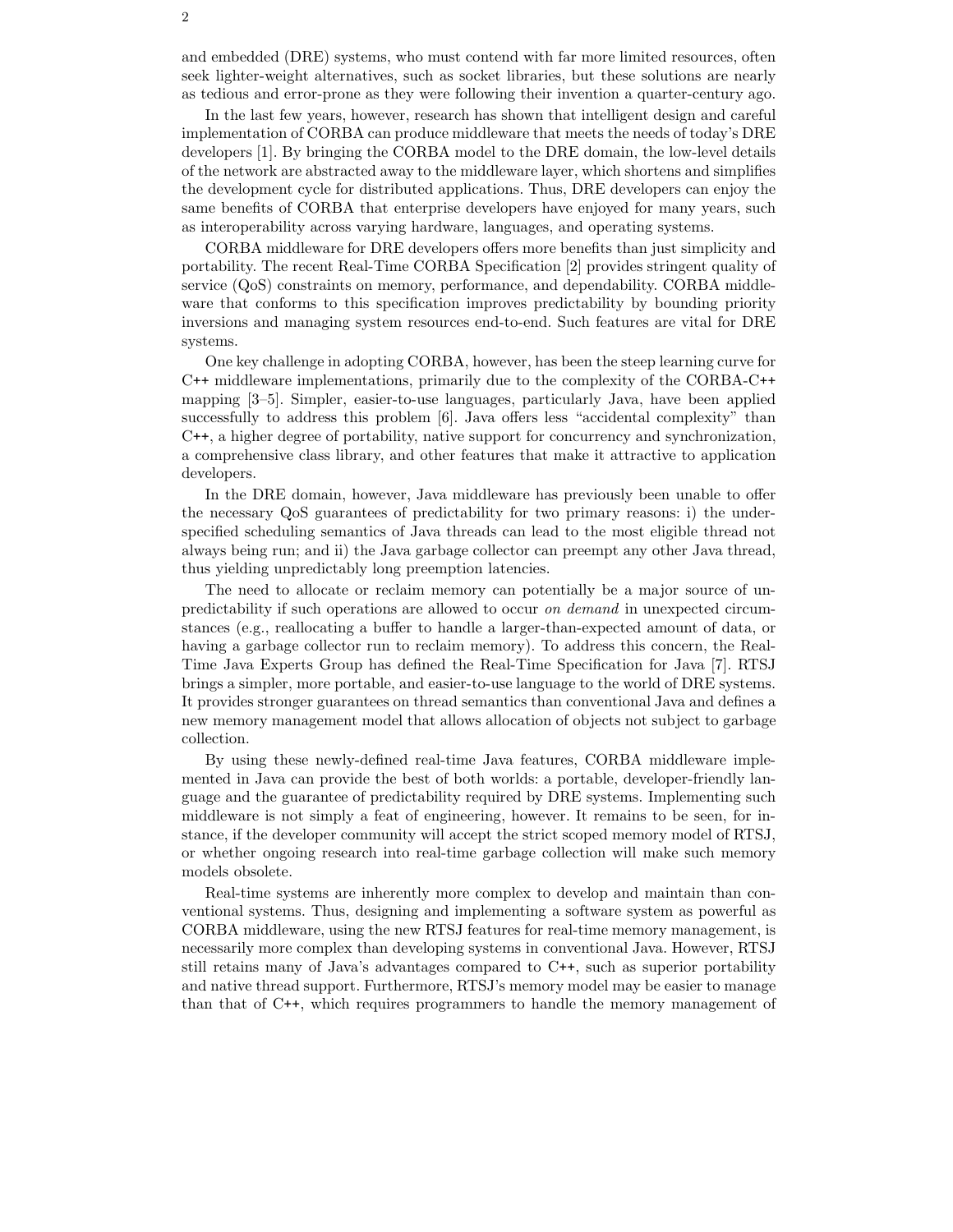and embedded (DRE) systems, who must contend with far more limited resources, often seek lighter-weight alternatives, such as socket libraries, but these solutions are nearly as tedious and error-prone as they were following their invention a quarter-century ago.

In the last few years, however, research has shown that intelligent design and careful implementation of CORBA can produce middleware that meets the needs of today's DRE developers [1]. By bringing the CORBA model to the DRE domain, the low-level details of the network are abstracted away to the middleware layer, which shortens and simplifies the development cycle for distributed applications. Thus, DRE developers can enjoy the same benefits of CORBA that enterprise developers have enjoyed for many years, such as interoperability across varying hardware, languages, and operating systems.

CORBA middleware for DRE developers offers more benefits than just simplicity and portability. The recent Real-Time CORBA Specification [2] provides stringent quality of service (QoS) constraints on memory, performance, and dependability. CORBA middleware that conforms to this specification improves predictability by bounding priority inversions and managing system resources end-to-end. Such features are vital for DRE systems.

One key challenge in adopting CORBA, however, has been the steep learning curve for C++ middleware implementations, primarily due to the complexity of the CORBA-C++ mapping [3–5]. Simpler, easier-to-use languages, particularly Java, have been applied successfully to address this problem [6]. Java offers less "accidental complexity" than C++, a higher degree of portability, native support for concurrency and synchronization, a comprehensive class library, and other features that make it attractive to application developers.

In the DRE domain, however, Java middleware has previously been unable to offer the necessary QoS guarantees of predictability for two primary reasons: i) the underspecified scheduling semantics of Java threads can lead to the most eligible thread not always being run; and ii) the Java garbage collector can preempt any other Java thread, thus yielding unpredictably long preemption latencies.

The need to allocate or reclaim memory can potentially be a major source of unpredictability if such operations are allowed to occur on demand in unexpected circumstances (e.g., reallocating a buffer to handle a larger-than-expected amount of data, or having a garbage collector run to reclaim memory). To address this concern, the Real-Time Java Experts Group has defined the Real-Time Specification for Java [7]. RTSJ brings a simpler, more portable, and easier-to-use language to the world of DRE systems. It provides stronger guarantees on thread semantics than conventional Java and defines a new memory management model that allows allocation of objects not subject to garbage collection.

By using these newly-defined real-time Java features, CORBA middleware implemented in Java can provide the best of both worlds: a portable, developer-friendly language and the guarantee of predictability required by DRE systems. Implementing such middleware is not simply a feat of engineering, however. It remains to be seen, for instance, if the developer community will accept the strict scoped memory model of RTSJ, or whether ongoing research into real-time garbage collection will make such memory models obsolete.

Real-time systems are inherently more complex to develop and maintain than conventional systems. Thus, designing and implementing a software system as powerful as CORBA middleware, using the new RTSJ features for real-time memory management, is necessarily more complex than developing systems in conventional Java. However, RTSJ still retains many of Java's advantages compared to C++, such as superior portability and native thread support. Furthermore, RTSJ's memory model may be easier to manage than that of C++, which requires programmers to handle the memory management of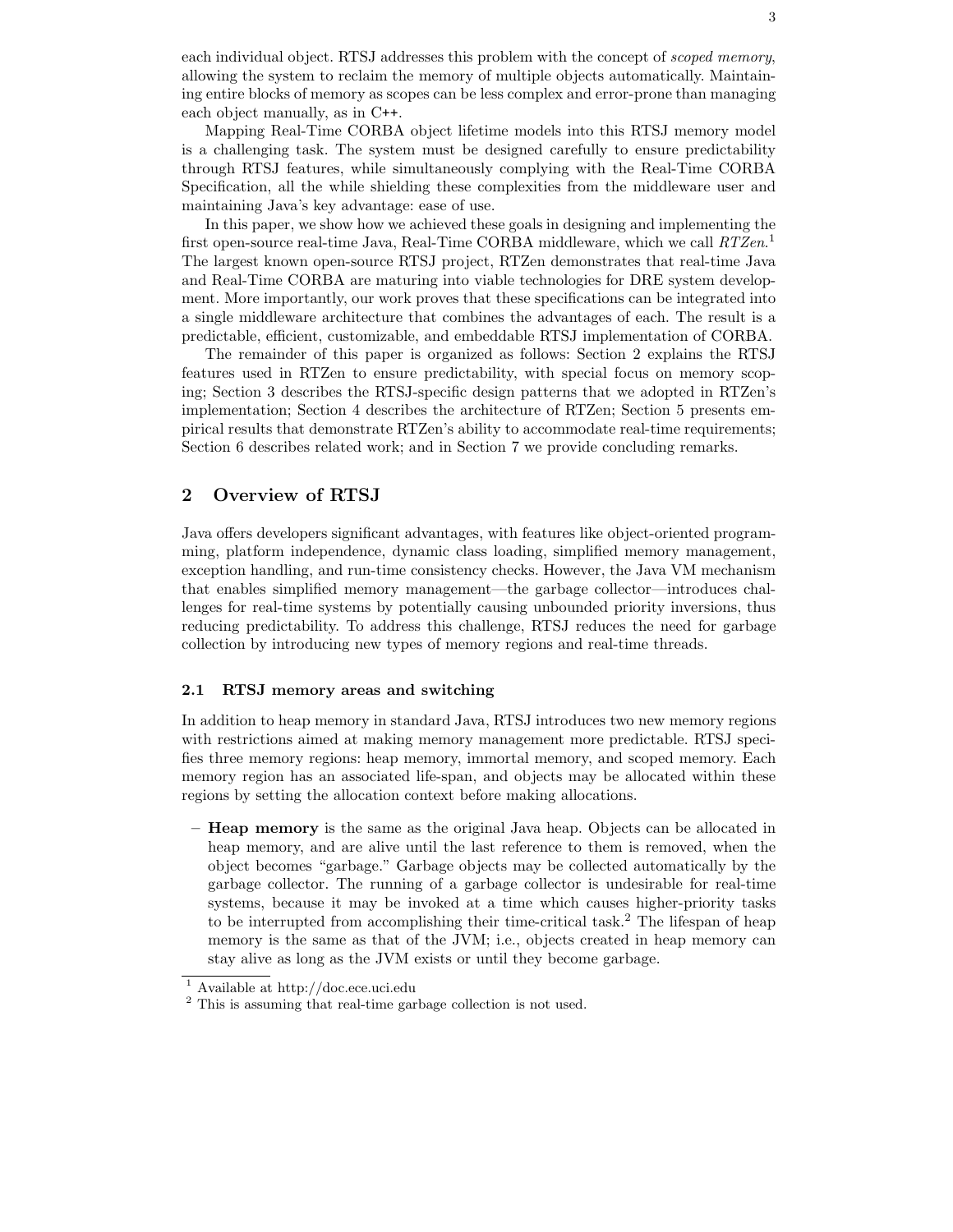each individual object. RTSJ addresses this problem with the concept of scoped memory, allowing the system to reclaim the memory of multiple objects automatically. Maintaining entire blocks of memory as scopes can be less complex and error-prone than managing each object manually, as in C++.

Mapping Real-Time CORBA object lifetime models into this RTSJ memory model is a challenging task. The system must be designed carefully to ensure predictability through RTSJ features, while simultaneously complying with the Real-Time CORBA Specification, all the while shielding these complexities from the middleware user and maintaining Java's key advantage: ease of use.

In this paper, we show how we achieved these goals in designing and implementing the first open-source real-time Java, Real-Time CORBA middleware, which we call  $RT\bar{Z}en$ <sup>1</sup> The largest known open-source RTSJ project, RTZen demonstrates that real-time Java and Real-Time CORBA are maturing into viable technologies for DRE system development. More importantly, our work proves that these specifications can be integrated into a single middleware architecture that combines the advantages of each. The result is a predictable, efficient, customizable, and embeddable RTSJ implementation of CORBA.

The remainder of this paper is organized as follows: Section 2 explains the RTSJ features used in RTZen to ensure predictability, with special focus on memory scoping; Section 3 describes the RTSJ-specific design patterns that we adopted in RTZen's implementation; Section 4 describes the architecture of RTZen; Section 5 presents empirical results that demonstrate RTZen's ability to accommodate real-time requirements; Section 6 describes related work; and in Section 7 we provide concluding remarks.

# 2 Overview of RTSJ

Java offers developers significant advantages, with features like object-oriented programming, platform independence, dynamic class loading, simplified memory management, exception handling, and run-time consistency checks. However, the Java VM mechanism that enables simplified memory management—the garbage collector—introduces challenges for real-time systems by potentially causing unbounded priority inversions, thus reducing predictability. To address this challenge, RTSJ reduces the need for garbage collection by introducing new types of memory regions and real-time threads.

### 2.1 RTSJ memory areas and switching

In addition to heap memory in standard Java, RTSJ introduces two new memory regions with restrictions aimed at making memory management more predictable. RTSJ specifies three memory regions: heap memory, immortal memory, and scoped memory. Each memory region has an associated life-span, and objects may be allocated within these regions by setting the allocation context before making allocations.

– Heap memory is the same as the original Java heap. Objects can be allocated in heap memory, and are alive until the last reference to them is removed, when the object becomes "garbage." Garbage objects may be collected automatically by the garbage collector. The running of a garbage collector is undesirable for real-time systems, because it may be invoked at a time which causes higher-priority tasks to be interrupted from accomplishing their time-critical task.<sup>2</sup> The lifespan of heap memory is the same as that of the JVM; i.e., objects created in heap memory can stay alive as long as the JVM exists or until they become garbage.

 $\overline{1}$  Available at http://doc.ece.uci.edu

<sup>2</sup> This is assuming that real-time garbage collection is not used.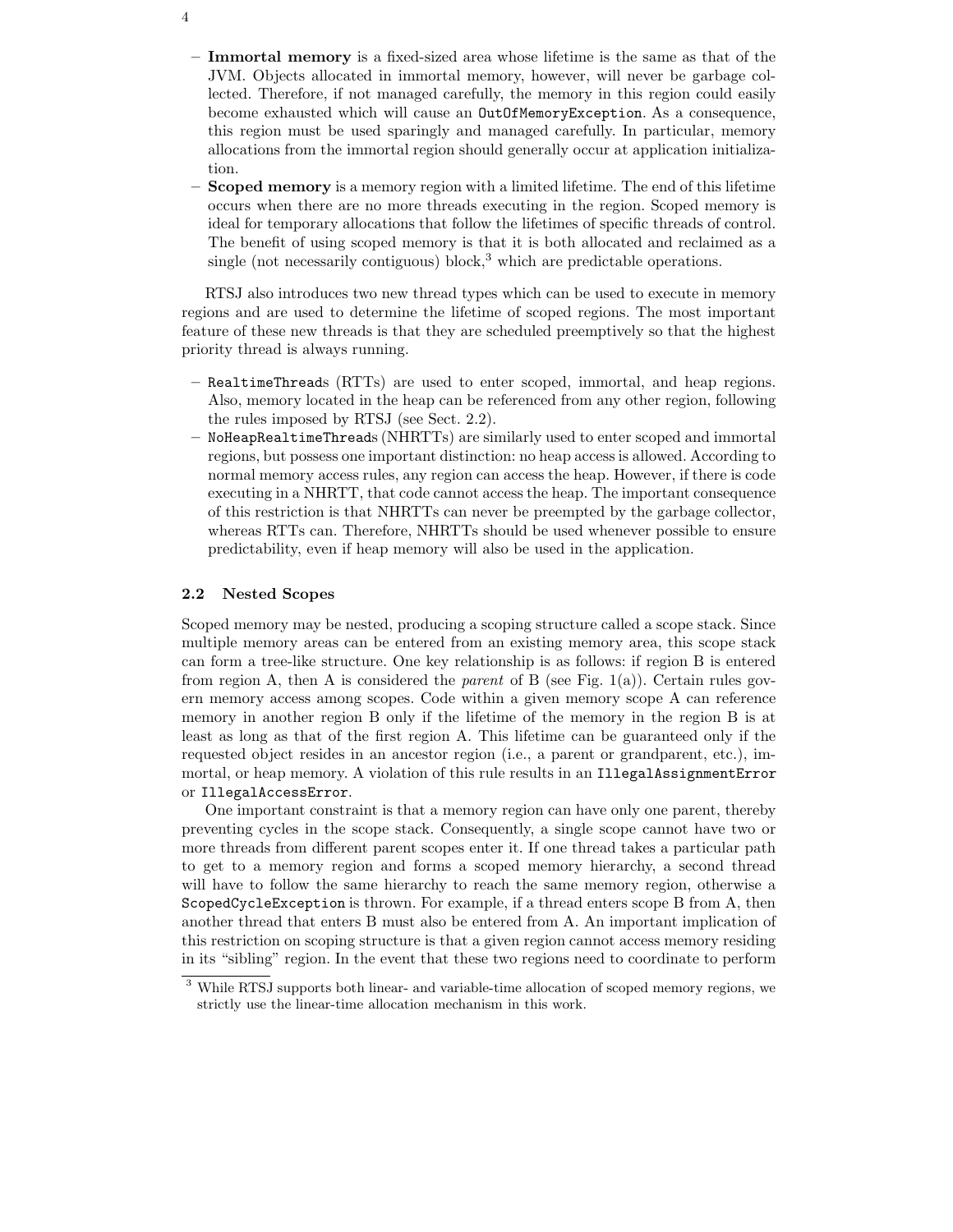- Immortal memory is a fixed-sized area whose lifetime is the same as that of the JVM. Objects allocated in immortal memory, however, will never be garbage collected. Therefore, if not managed carefully, the memory in this region could easily become exhausted which will cause an OutOfMemoryException. As a consequence, this region must be used sparingly and managed carefully. In particular, memory allocations from the immortal region should generally occur at application initialization.
- Scoped memory is a memory region with a limited lifetime. The end of this lifetime occurs when there are no more threads executing in the region. Scoped memory is ideal for temporary allocations that follow the lifetimes of specific threads of control. The benefit of using scoped memory is that it is both allocated and reclaimed as a single (not necessarily contiguous) block,<sup>3</sup> which are predictable operations.

RTSJ also introduces two new thread types which can be used to execute in memory regions and are used to determine the lifetime of scoped regions. The most important feature of these new threads is that they are scheduled preemptively so that the highest priority thread is always running.

- RealtimeThreads (RTTs) are used to enter scoped, immortal, and heap regions. Also, memory located in the heap can be referenced from any other region, following the rules imposed by RTSJ (see Sect. 2.2).
- NoHeapRealtimeThreads (NHRTTs) are similarly used to enter scoped and immortal regions, but possess one important distinction: no heap access is allowed. According to normal memory access rules, any region can access the heap. However, if there is code executing in a NHRTT, that code cannot access the heap. The important consequence of this restriction is that NHRTTs can never be preempted by the garbage collector, whereas RTTs can. Therefore, NHRTTs should be used whenever possible to ensure predictability, even if heap memory will also be used in the application.

#### 2.2 Nested Scopes

Scoped memory may be nested, producing a scoping structure called a scope stack. Since multiple memory areas can be entered from an existing memory area, this scope stack can form a tree-like structure. One key relationship is as follows: if region B is entered from region A, then A is considered the *parent* of B (see Fig. 1(a)). Certain rules govern memory access among scopes. Code within a given memory scope A can reference memory in another region B only if the lifetime of the memory in the region B is at least as long as that of the first region A. This lifetime can be guaranteed only if the requested object resides in an ancestor region (i.e., a parent or grandparent, etc.), immortal, or heap memory. A violation of this rule results in an IllegalAssignmentError or IllegalAccessError.

One important constraint is that a memory region can have only one parent, thereby preventing cycles in the scope stack. Consequently, a single scope cannot have two or more threads from different parent scopes enter it. If one thread takes a particular path to get to a memory region and forms a scoped memory hierarchy, a second thread will have to follow the same hierarchy to reach the same memory region, otherwise a ScopedCycleException is thrown. For example, if a thread enters scope B from A, then another thread that enters B must also be entered from A. An important implication of this restriction on scoping structure is that a given region cannot access memory residing in its "sibling" region. In the event that these two regions need to coordinate to perform

<sup>3</sup> While RTSJ supports both linear- and variable-time allocation of scoped memory regions, we strictly use the linear-time allocation mechanism in this work.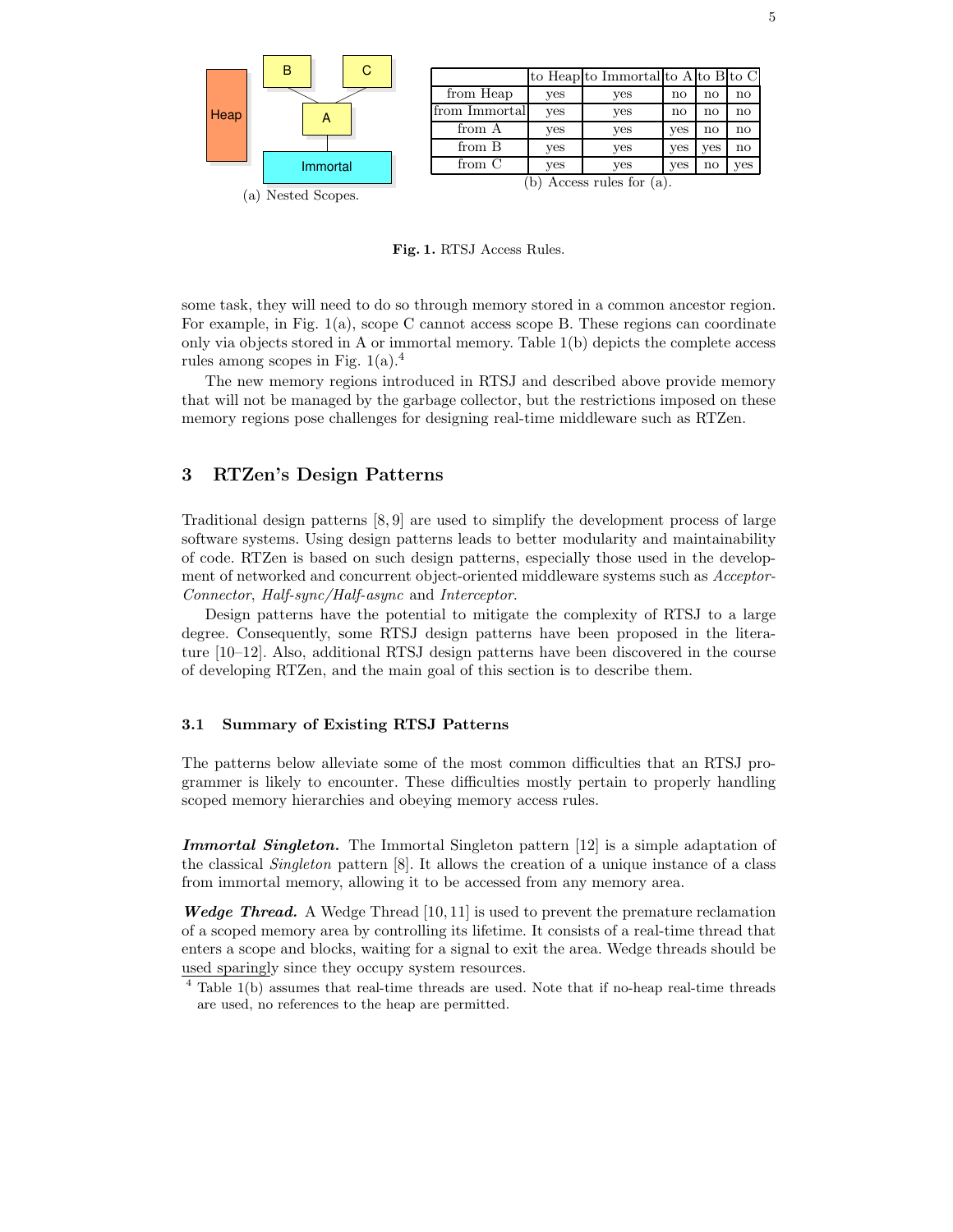

Fig. 1. RTSJ Access Rules.

some task, they will need to do so through memory stored in a common ancestor region. For example, in Fig.  $1(a)$ , scope C cannot access scope B. These regions can coordinate only via objects stored in A or immortal memory. Table 1(b) depicts the complete access rules among scopes in Fig.  $1(a)$ .<sup>4</sup>

The new memory regions introduced in RTSJ and described above provide memory that will not be managed by the garbage collector, but the restrictions imposed on these memory regions pose challenges for designing real-time middleware such as RTZen.

# 3 RTZen's Design Patterns

Traditional design patterns [8, 9] are used to simplify the development process of large software systems. Using design patterns leads to better modularity and maintainability of code. RTZen is based on such design patterns, especially those used in the development of networked and concurrent object-oriented middleware systems such as Acceptor-Connector, Half-sync/Half-async and Interceptor.

Design patterns have the potential to mitigate the complexity of RTSJ to a large degree. Consequently, some RTSJ design patterns have been proposed in the literature [10–12]. Also, additional RTSJ design patterns have been discovered in the course of developing RTZen, and the main goal of this section is to describe them.

#### 3.1 Summary of Existing RTSJ Patterns

The patterns below alleviate some of the most common difficulties that an RTSJ programmer is likely to encounter. These difficulties mostly pertain to properly handling scoped memory hierarchies and obeying memory access rules.

Immortal Singleton. The Immortal Singleton pattern [12] is a simple adaptation of the classical Singleton pattern [8]. It allows the creation of a unique instance of a class from immortal memory, allowing it to be accessed from any memory area.

**Wedge Thread.** A Wedge Thread  $[10, 11]$  is used to prevent the premature reclamation of a scoped memory area by controlling its lifetime. It consists of a real-time thread that enters a scope and blocks, waiting for a signal to exit the area. Wedge threads should be used sparingly since they occupy system resources.

<sup>4</sup> Table 1(b) assumes that real-time threads are used. Note that if no-heap real-time threads are used, no references to the heap are permitted.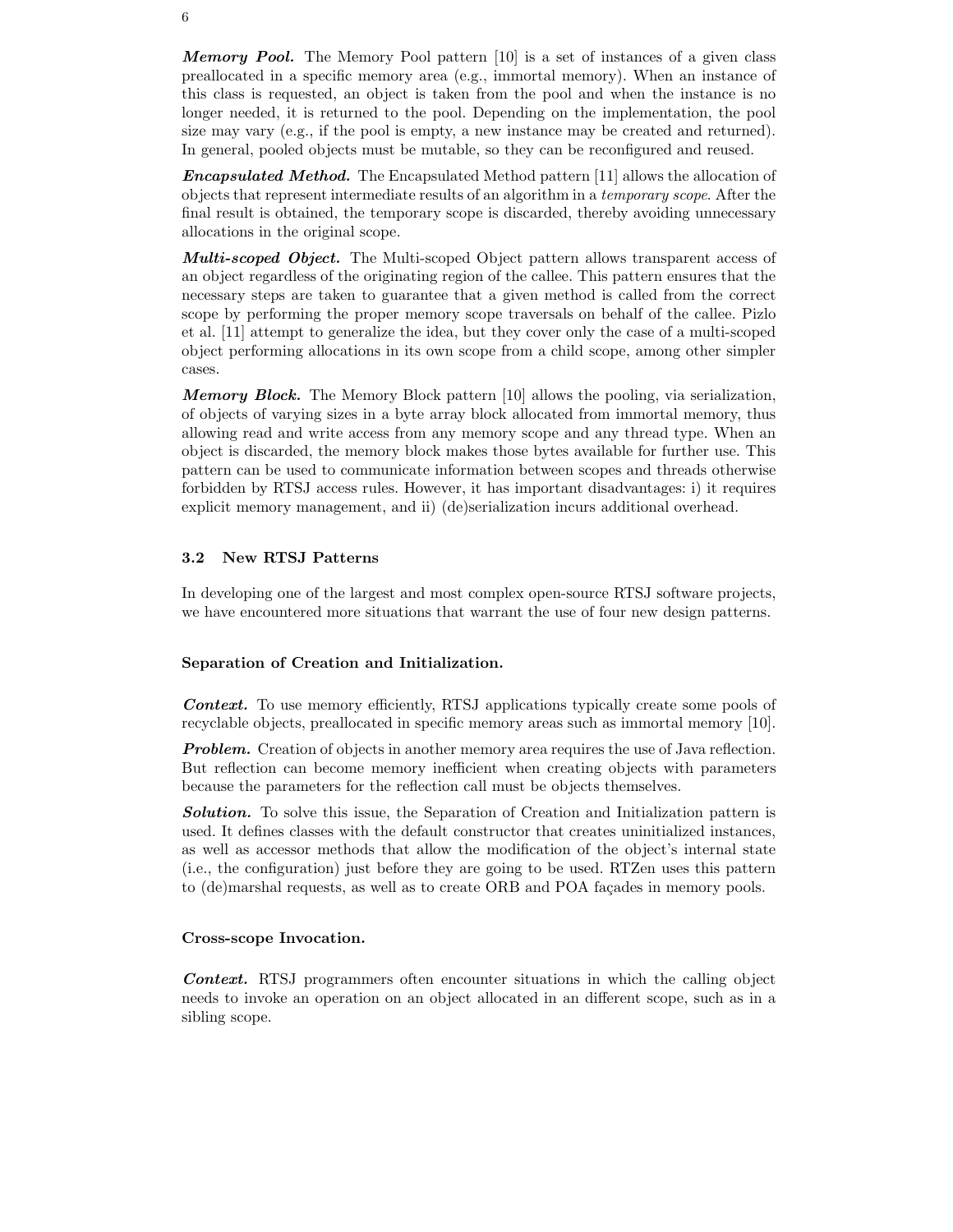**Memory Pool.** The Memory Pool pattern [10] is a set of instances of a given class preallocated in a specific memory area (e.g., immortal memory). When an instance of this class is requested, an object is taken from the pool and when the instance is no longer needed, it is returned to the pool. Depending on the implementation, the pool size may vary (e.g., if the pool is empty, a new instance may be created and returned). In general, pooled objects must be mutable, so they can be reconfigured and reused.

**Encapsulated Method.** The Encapsulated Method pattern [11] allows the allocation of objects that represent intermediate results of an algorithm in a temporary scope. After the final result is obtained, the temporary scope is discarded, thereby avoiding unnecessary allocations in the original scope.

Multi-scoped Object. The Multi-scoped Object pattern allows transparent access of an object regardless of the originating region of the callee. This pattern ensures that the necessary steps are taken to guarantee that a given method is called from the correct scope by performing the proper memory scope traversals on behalf of the callee. Pizlo et al. [11] attempt to generalize the idea, but they cover only the case of a multi-scoped object performing allocations in its own scope from a child scope, among other simpler cases.

Memory Block. The Memory Block pattern [10] allows the pooling, via serialization, of objects of varying sizes in a byte array block allocated from immortal memory, thus allowing read and write access from any memory scope and any thread type. When an object is discarded, the memory block makes those bytes available for further use. This pattern can be used to communicate information between scopes and threads otherwise forbidden by RTSJ access rules. However, it has important disadvantages: i) it requires explicit memory management, and ii) (de)serialization incurs additional overhead.

#### 3.2 New RTSJ Patterns

In developing one of the largest and most complex open-source RTSJ software projects, we have encountered more situations that warrant the use of four new design patterns.

#### Separation of Creation and Initialization.

Context. To use memory efficiently, RTSJ applications typically create some pools of recyclable objects, preallocated in specific memory areas such as immortal memory [10].

**Problem.** Creation of objects in another memory area requires the use of Java reflection. But reflection can become memory inefficient when creating objects with parameters because the parameters for the reflection call must be objects themselves.

**Solution.** To solve this issue, the Separation of Creation and Initialization pattern is used. It defines classes with the default constructor that creates uninitialized instances, as well as accessor methods that allow the modification of the object's internal state (i.e., the configuration) just before they are going to be used. RTZen uses this pattern to (de)marshal requests, as well as to create ORB and POA façades in memory pools.

#### Cross-scope Invocation.

Context. RTSJ programmers often encounter situations in which the calling object needs to invoke an operation on an object allocated in an different scope, such as in a sibling scope.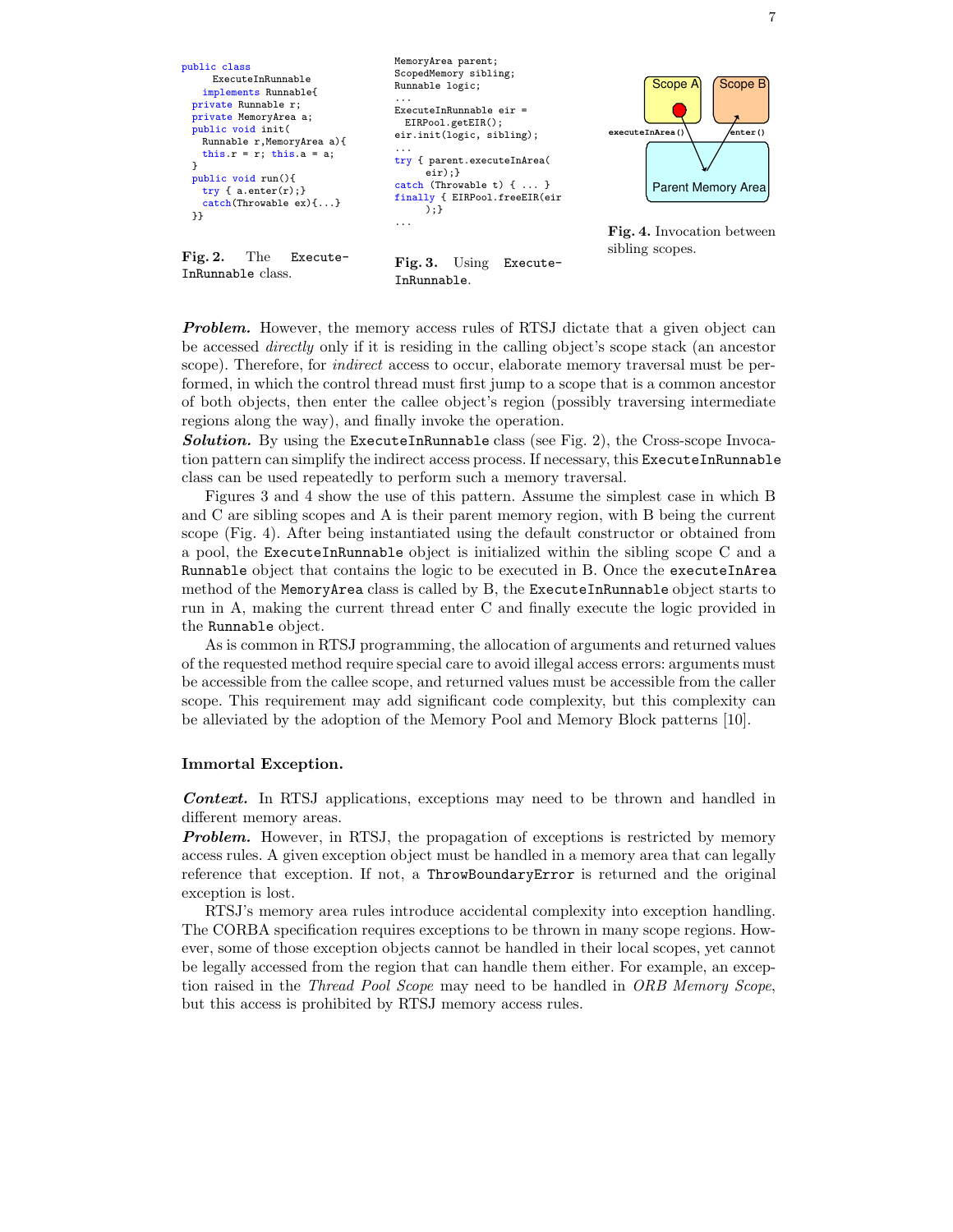

**Problem.** However, the memory access rules of RTSJ dictate that a given object can be accessed directly only if it is residing in the calling object's scope stack (an ancestor scope). Therefore, for *indirect* access to occur, elaborate memory traversal must be performed, in which the control thread must first jump to a scope that is a common ancestor of both objects, then enter the callee object's region (possibly traversing intermediate regions along the way), and finally invoke the operation.

**Solution.** By using the ExecuteInRunnable class (see Fig. 2), the Cross-scope Invocation pattern can simplify the indirect access process. If necessary, this ExecuteInRunnable class can be used repeatedly to perform such a memory traversal.

Figures 3 and 4 show the use of this pattern. Assume the simplest case in which B and C are sibling scopes and A is their parent memory region, with B being the current scope (Fig. 4). After being instantiated using the default constructor or obtained from a pool, the ExecuteInRunnable object is initialized within the sibling scope C and a Runnable object that contains the logic to be executed in B. Once the executeInArea method of the MemoryArea class is called by B, the ExecuteInRunnable object starts to run in A, making the current thread enter C and finally execute the logic provided in the Runnable object.

As is common in RTSJ programming, the allocation of arguments and returned values of the requested method require special care to avoid illegal access errors: arguments must be accessible from the callee scope, and returned values must be accessible from the caller scope. This requirement may add significant code complexity, but this complexity can be alleviated by the adoption of the Memory Pool and Memory Block patterns [10].

#### Immortal Exception.

Context. In RTSJ applications, exceptions may need to be thrown and handled in different memory areas.

**Problem.** However, in RTSJ, the propagation of exceptions is restricted by memory access rules. A given exception object must be handled in a memory area that can legally reference that exception. If not, a ThrowBoundaryError is returned and the original exception is lost.

RTSJ's memory area rules introduce accidental complexity into exception handling. The CORBA specification requires exceptions to be thrown in many scope regions. However, some of those exception objects cannot be handled in their local scopes, yet cannot be legally accessed from the region that can handle them either. For example, an exception raised in the Thread Pool Scope may need to be handled in ORB Memory Scope, but this access is prohibited by RTSJ memory access rules.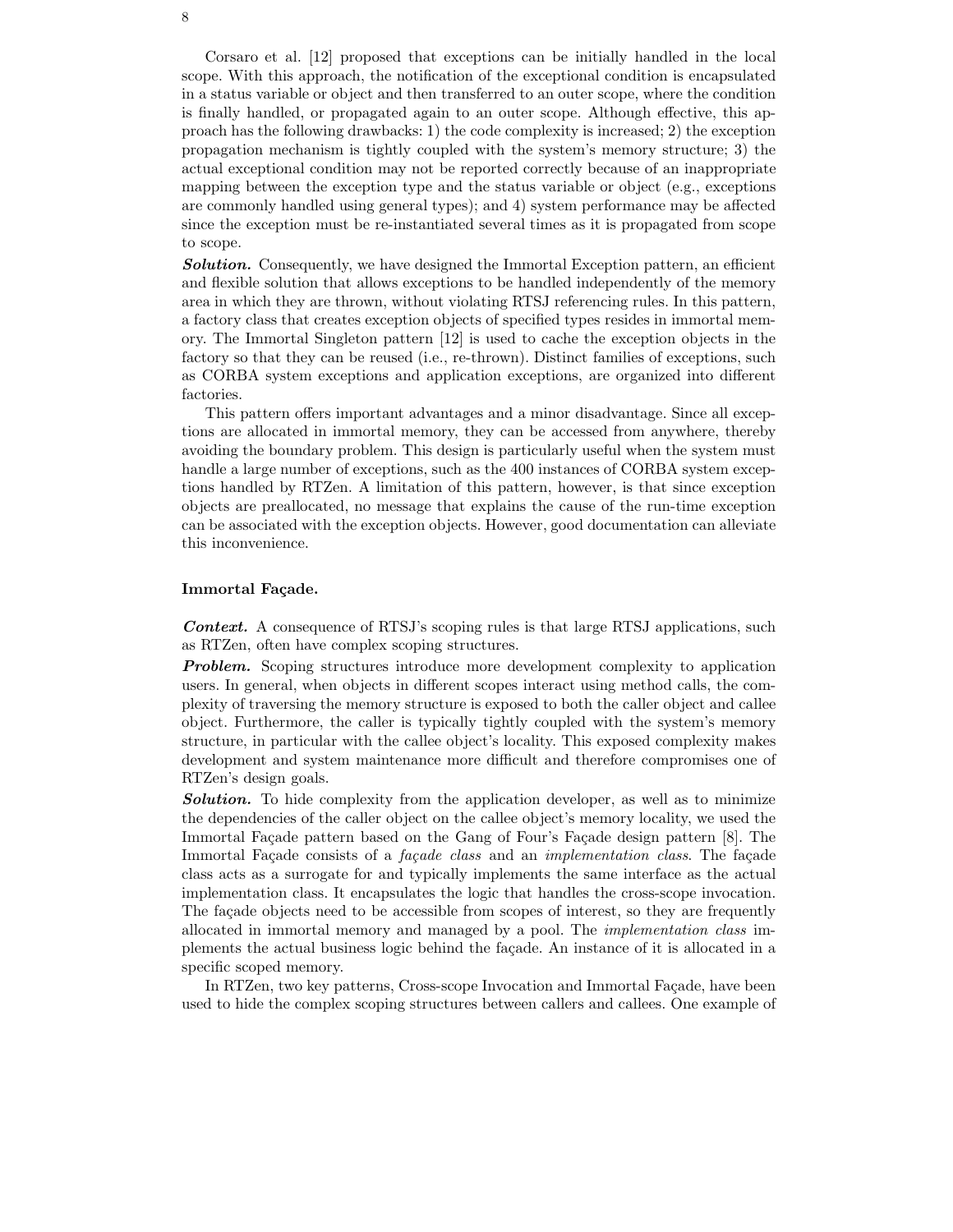Corsaro et al. [12] proposed that exceptions can be initially handled in the local scope. With this approach, the notification of the exceptional condition is encapsulated in a status variable or object and then transferred to an outer scope, where the condition is finally handled, or propagated again to an outer scope. Although effective, this approach has the following drawbacks: 1) the code complexity is increased; 2) the exception propagation mechanism is tightly coupled with the system's memory structure; 3) the actual exceptional condition may not be reported correctly because of an inappropriate mapping between the exception type and the status variable or object (e.g., exceptions are commonly handled using general types); and 4) system performance may be affected since the exception must be re-instantiated several times as it is propagated from scope to scope.

**Solution.** Consequently, we have designed the Immortal Exception pattern, an efficient and flexible solution that allows exceptions to be handled independently of the memory area in which they are thrown, without violating RTSJ referencing rules. In this pattern, a factory class that creates exception objects of specified types resides in immortal memory. The Immortal Singleton pattern [12] is used to cache the exception objects in the factory so that they can be reused (i.e., re-thrown). Distinct families of exceptions, such as CORBA system exceptions and application exceptions, are organized into different factories.

This pattern offers important advantages and a minor disadvantage. Since all exceptions are allocated in immortal memory, they can be accessed from anywhere, thereby avoiding the boundary problem. This design is particularly useful when the system must handle a large number of exceptions, such as the 400 instances of CORBA system exceptions handled by RTZen. A limitation of this pattern, however, is that since exception objects are preallocated, no message that explains the cause of the run-time exception can be associated with the exception objects. However, good documentation can alleviate this inconvenience.

### Immortal Façade.

Context. A consequence of RTSJ's scoping rules is that large RTSJ applications, such as RTZen, often have complex scoping structures.

Problem. Scoping structures introduce more development complexity to application users. In general, when objects in different scopes interact using method calls, the complexity of traversing the memory structure is exposed to both the caller object and callee object. Furthermore, the caller is typically tightly coupled with the system's memory structure, in particular with the callee object's locality. This exposed complexity makes development and system maintenance more difficult and therefore compromises one of RTZen's design goals.

**Solution.** To hide complexity from the application developer, as well as to minimize the dependencies of the caller object on the callee object's memory locality, we used the Immortal Façade pattern based on the Gang of Four's Façade design pattern [8]. The Immortal Façade consists of a *façade class* and an *implementation class*. The façade class acts as a surrogate for and typically implements the same interface as the actual implementation class. It encapsulates the logic that handles the cross-scope invocation. The façade objects need to be accessible from scopes of interest, so they are frequently allocated in immortal memory and managed by a pool. The implementation class implements the actual business logic behind the façade. An instance of it is allocated in a specific scoped memory.

In RTZen, two key patterns, Cross-scope Invocation and Immortal Facade, have been used to hide the complex scoping structures between callers and callees. One example of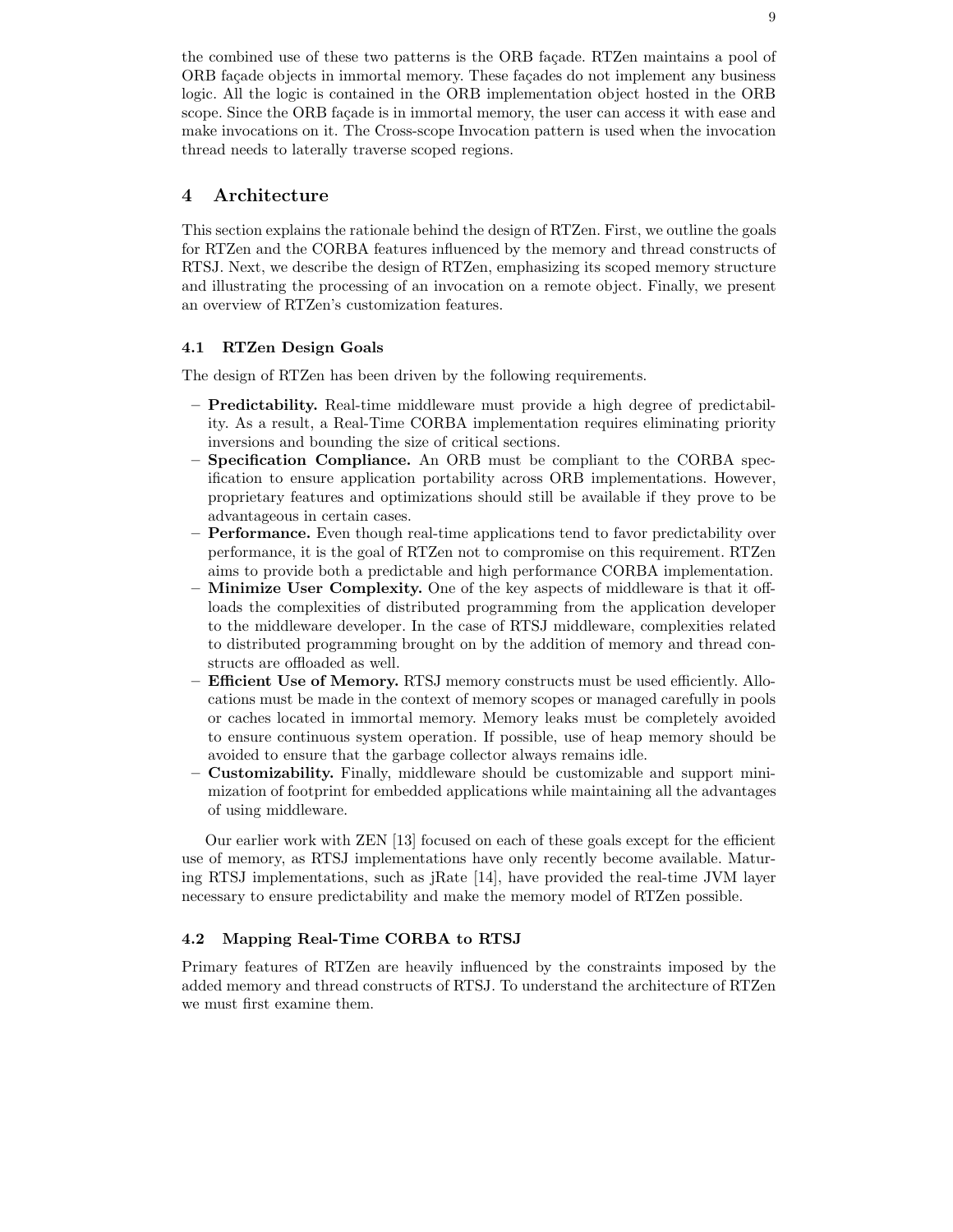the combined use of these two patterns is the ORB façade. RTZen maintains a pool of ORB façade objects in immortal memory. These façades do not implement any business logic. All the logic is contained in the ORB implementation object hosted in the ORB scope. Since the ORB façade is in immortal memory, the user can access it with ease and make invocations on it. The Cross-scope Invocation pattern is used when the invocation thread needs to laterally traverse scoped regions.

# 4 Architecture

This section explains the rationale behind the design of RTZen. First, we outline the goals for RTZen and the CORBA features influenced by the memory and thread constructs of RTSJ. Next, we describe the design of RTZen, emphasizing its scoped memory structure and illustrating the processing of an invocation on a remote object. Finally, we present an overview of RTZen's customization features.

# 4.1 RTZen Design Goals

The design of RTZen has been driven by the following requirements.

- Predictability. Real-time middleware must provide a high degree of predictability. As a result, a Real-Time CORBA implementation requires eliminating priority inversions and bounding the size of critical sections.
- Specification Compliance. An ORB must be compliant to the CORBA specification to ensure application portability across ORB implementations. However, proprietary features and optimizations should still be available if they prove to be advantageous in certain cases.
- Performance. Even though real-time applications tend to favor predictability over performance, it is the goal of RTZen not to compromise on this requirement. RTZen aims to provide both a predictable and high performance CORBA implementation.
- **Minimize User Complexity.** One of the key aspects of middleware is that it offloads the complexities of distributed programming from the application developer to the middleware developer. In the case of RTSJ middleware, complexities related to distributed programming brought on by the addition of memory and thread constructs are offloaded as well.
- Efficient Use of Memory. RTSJ memory constructs must be used efficiently. Allocations must be made in the context of memory scopes or managed carefully in pools or caches located in immortal memory. Memory leaks must be completely avoided to ensure continuous system operation. If possible, use of heap memory should be avoided to ensure that the garbage collector always remains idle.
- Customizability. Finally, middleware should be customizable and support minimization of footprint for embedded applications while maintaining all the advantages of using middleware.

Our earlier work with ZEN [13] focused on each of these goals except for the efficient use of memory, as RTSJ implementations have only recently become available. Maturing RTSJ implementations, such as jRate [14], have provided the real-time JVM layer necessary to ensure predictability and make the memory model of RTZen possible.

# 4.2 Mapping Real-Time CORBA to RTSJ

Primary features of RTZen are heavily influenced by the constraints imposed by the added memory and thread constructs of RTSJ. To understand the architecture of RTZen we must first examine them.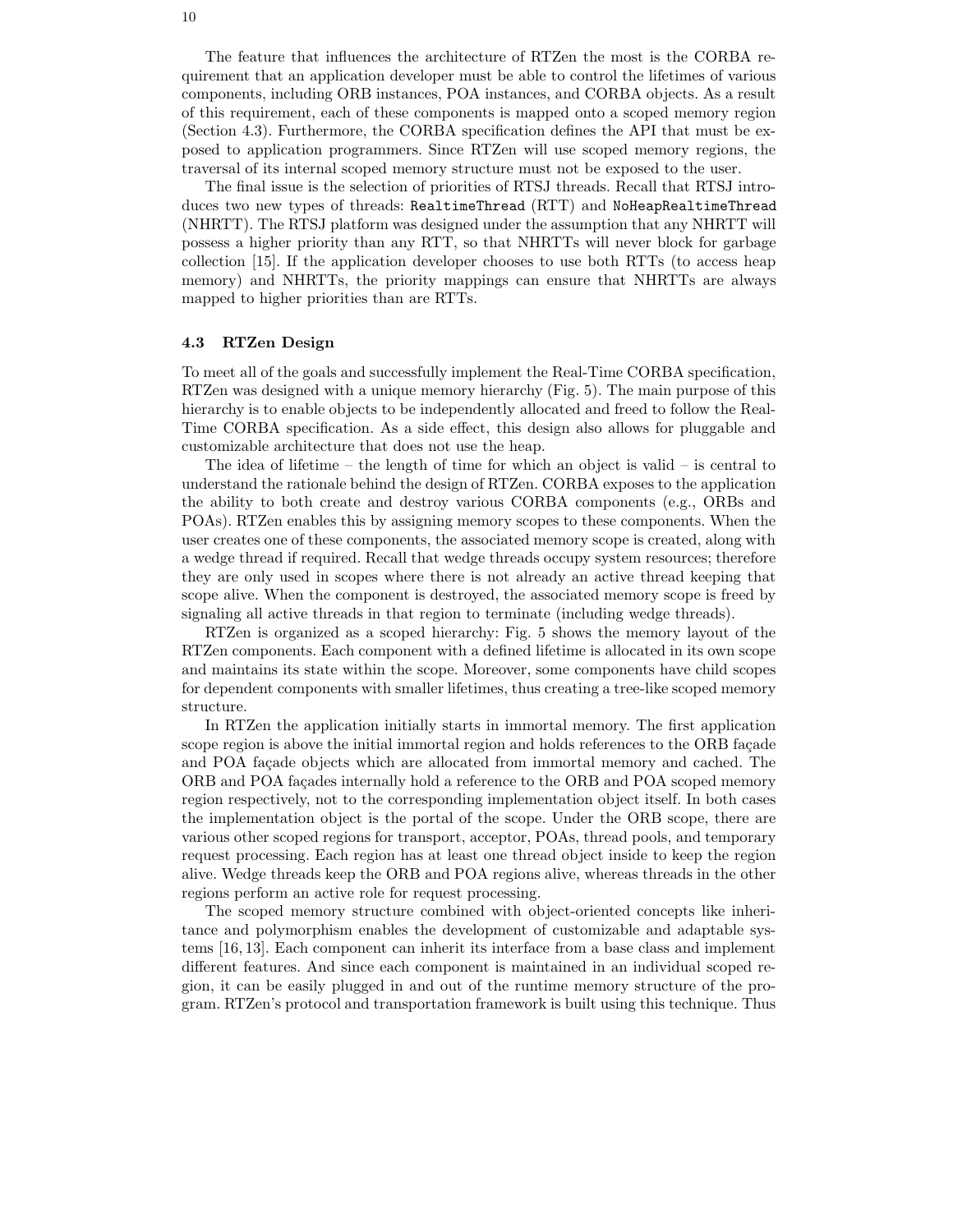The feature that influences the architecture of RTZen the most is the CORBA requirement that an application developer must be able to control the lifetimes of various components, including ORB instances, POA instances, and CORBA objects. As a result of this requirement, each of these components is mapped onto a scoped memory region (Section 4.3). Furthermore, the CORBA specification defines the API that must be exposed to application programmers. Since RTZen will use scoped memory regions, the traversal of its internal scoped memory structure must not be exposed to the user.

The final issue is the selection of priorities of RTSJ threads. Recall that RTSJ introduces two new types of threads: RealtimeThread (RTT) and NoHeapRealtimeThread (NHRTT). The RTSJ platform was designed under the assumption that any NHRTT will possess a higher priority than any RTT, so that NHRTTs will never block for garbage collection [15]. If the application developer chooses to use both RTTs (to access heap memory) and NHRTTs, the priority mappings can ensure that NHRTTs are always mapped to higher priorities than are RTTs.

### 4.3 RTZen Design

To meet all of the goals and successfully implement the Real-Time CORBA specification, RTZen was designed with a unique memory hierarchy (Fig. 5). The main purpose of this hierarchy is to enable objects to be independently allocated and freed to follow the Real-Time CORBA specification. As a side effect, this design also allows for pluggable and customizable architecture that does not use the heap.

The idea of lifetime – the length of time for which an object is valid – is central to understand the rationale behind the design of RTZen. CORBA exposes to the application the ability to both create and destroy various CORBA components (e.g., ORBs and POAs). RTZen enables this by assigning memory scopes to these components. When the user creates one of these components, the associated memory scope is created, along with a wedge thread if required. Recall that wedge threads occupy system resources; therefore they are only used in scopes where there is not already an active thread keeping that scope alive. When the component is destroyed, the associated memory scope is freed by signaling all active threads in that region to terminate (including wedge threads).

RTZen is organized as a scoped hierarchy: Fig. 5 shows the memory layout of the RTZen components. Each component with a defined lifetime is allocated in its own scope and maintains its state within the scope. Moreover, some components have child scopes for dependent components with smaller lifetimes, thus creating a tree-like scoped memory structure.

In RTZen the application initially starts in immortal memory. The first application scope region is above the initial immortal region and holds references to the ORB façade and POA façade objects which are allocated from immortal memory and cached. The ORB and POA façades internally hold a reference to the ORB and POA scoped memory region respectively, not to the corresponding implementation object itself. In both cases the implementation object is the portal of the scope. Under the ORB scope, there are various other scoped regions for transport, acceptor, POAs, thread pools, and temporary request processing. Each region has at least one thread object inside to keep the region alive. Wedge threads keep the ORB and POA regions alive, whereas threads in the other regions perform an active role for request processing.

The scoped memory structure combined with object-oriented concepts like inheritance and polymorphism enables the development of customizable and adaptable systems [16, 13]. Each component can inherit its interface from a base class and implement different features. And since each component is maintained in an individual scoped region, it can be easily plugged in and out of the runtime memory structure of the program. RTZen's protocol and transportation framework is built using this technique. Thus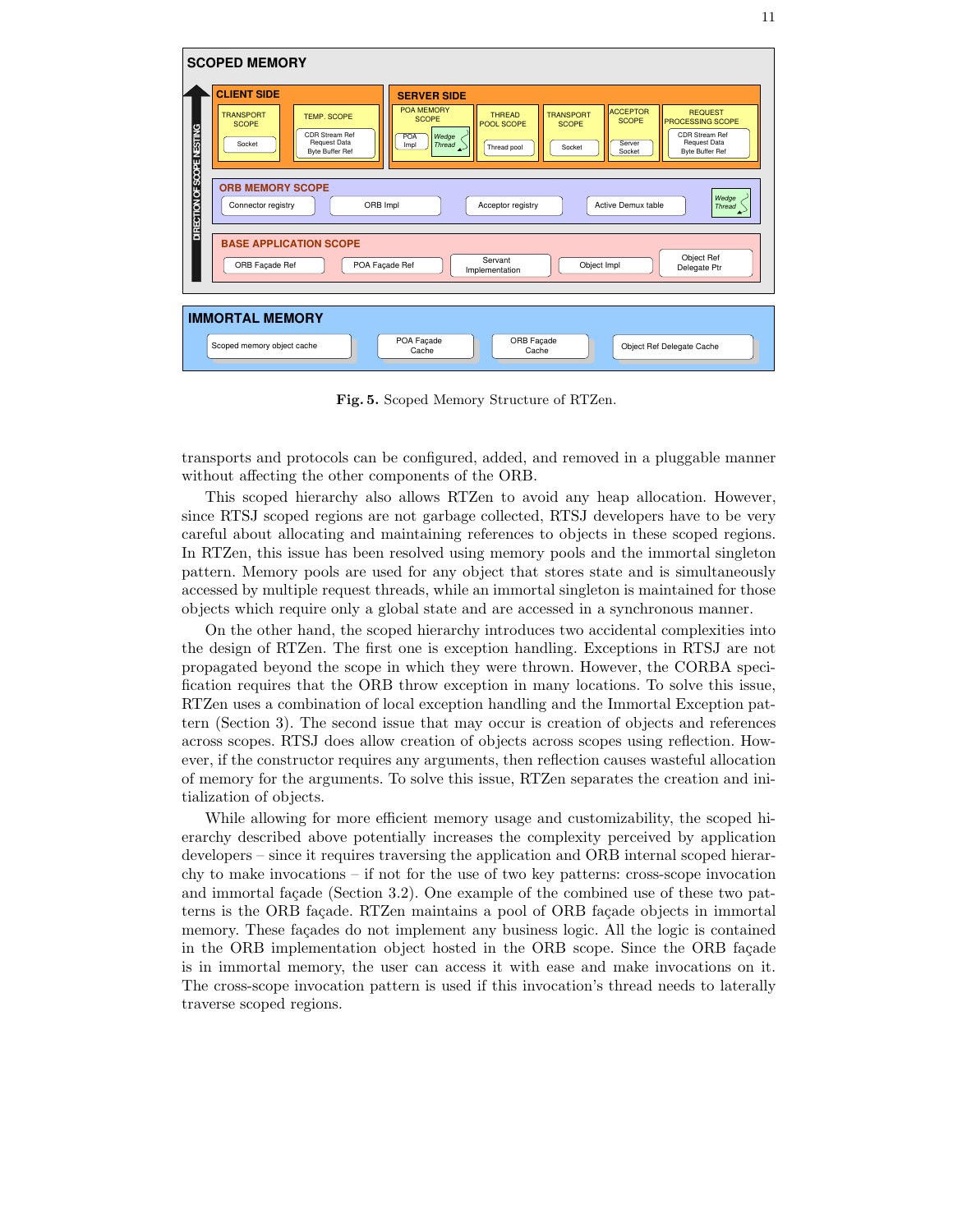

Fig. 5. Scoped Memory Structure of RTZen.

transports and protocols can be configured, added, and removed in a pluggable manner without affecting the other components of the ORB.

This scoped hierarchy also allows RTZen to avoid any heap allocation. However, since RTSJ scoped regions are not garbage collected, RTSJ developers have to be very careful about allocating and maintaining references to objects in these scoped regions. In RTZen, this issue has been resolved using memory pools and the immortal singleton pattern. Memory pools are used for any object that stores state and is simultaneously accessed by multiple request threads, while an immortal singleton is maintained for those objects which require only a global state and are accessed in a synchronous manner.

On the other hand, the scoped hierarchy introduces two accidental complexities into the design of RTZen. The first one is exception handling. Exceptions in RTSJ are not propagated beyond the scope in which they were thrown. However, the CORBA specification requires that the ORB throw exception in many locations. To solve this issue, RTZen uses a combination of local exception handling and the Immortal Exception pattern (Section 3). The second issue that may occur is creation of objects and references across scopes. RTSJ does allow creation of objects across scopes using reflection. However, if the constructor requires any arguments, then reflection causes wasteful allocation of memory for the arguments. To solve this issue, RTZen separates the creation and initialization of objects.

While allowing for more efficient memory usage and customizability, the scoped hierarchy described above potentially increases the complexity perceived by application developers – since it requires traversing the application and ORB internal scoped hierarchy to make invocations – if not for the use of two key patterns: cross-scope invocation and immortal façade (Section 3.2). One example of the combined use of these two patterns is the ORB facade. RTZen maintains a pool of ORB facade objects in immortal memory. These façades do not implement any business logic. All the logic is contained in the ORB implementation object hosted in the ORB scope. Since the ORB façade is in immortal memory, the user can access it with ease and make invocations on it. The cross-scope invocation pattern is used if this invocation's thread needs to laterally traverse scoped regions.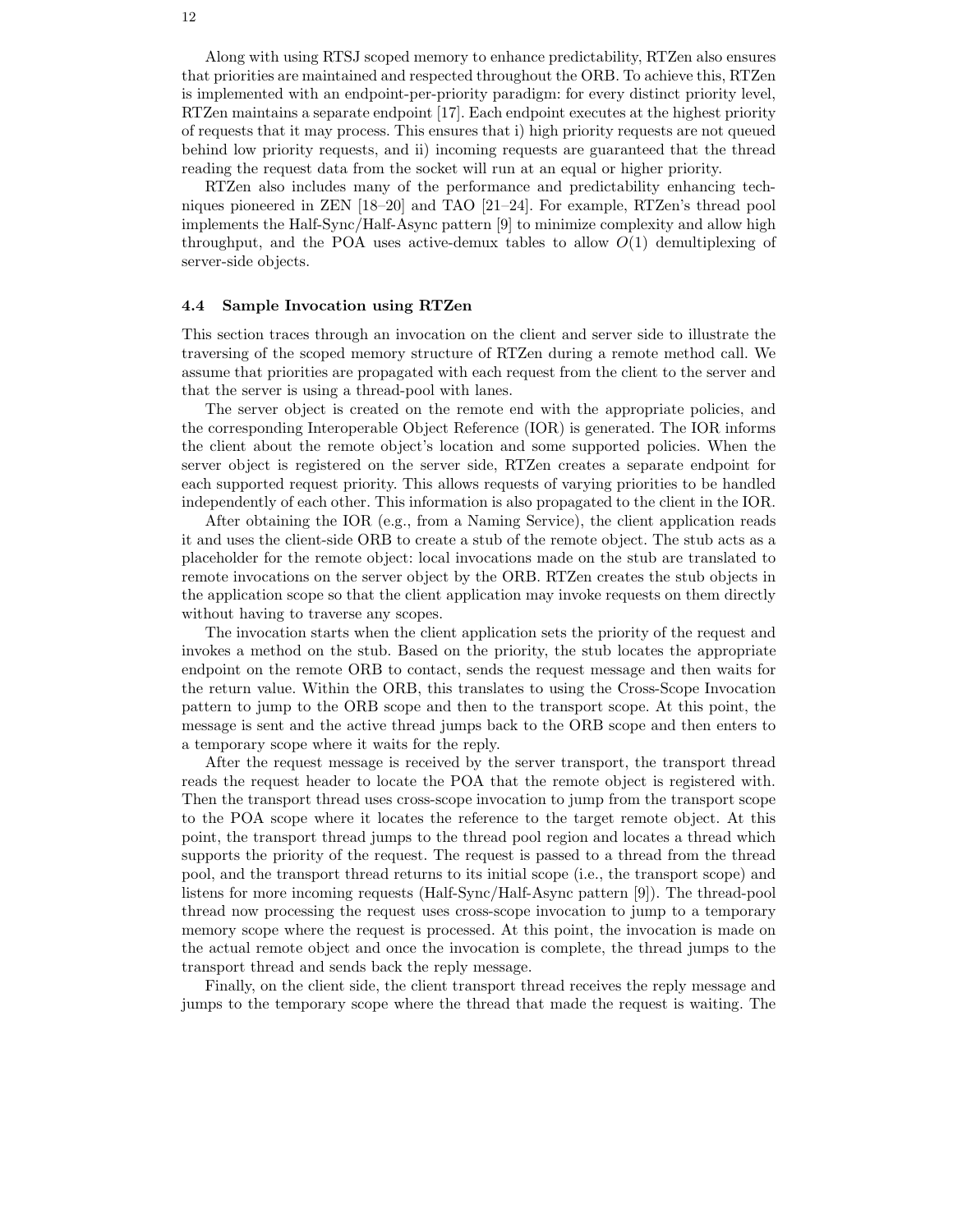Along with using RTSJ scoped memory to enhance predictability, RTZen also ensures that priorities are maintained and respected throughout the ORB. To achieve this, RTZen is implemented with an endpoint-per-priority paradigm: for every distinct priority level, RTZen maintains a separate endpoint [17]. Each endpoint executes at the highest priority of requests that it may process. This ensures that i) high priority requests are not queued behind low priority requests, and ii) incoming requests are guaranteed that the thread reading the request data from the socket will run at an equal or higher priority.

RTZen also includes many of the performance and predictability enhancing techniques pioneered in ZEN [18–20] and TAO [21–24]. For example, RTZen's thread pool implements the Half-Sync/Half-Async pattern [9] to minimize complexity and allow high throughput, and the POA uses active-demux tables to allow  $O(1)$  demultiplexing of server-side objects.

#### 4.4 Sample Invocation using RTZen

This section traces through an invocation on the client and server side to illustrate the traversing of the scoped memory structure of RTZen during a remote method call. We assume that priorities are propagated with each request from the client to the server and that the server is using a thread-pool with lanes.

The server object is created on the remote end with the appropriate policies, and the corresponding Interoperable Object Reference (IOR) is generated. The IOR informs the client about the remote object's location and some supported policies. When the server object is registered on the server side, RTZen creates a separate endpoint for each supported request priority. This allows requests of varying priorities to be handled independently of each other. This information is also propagated to the client in the IOR.

After obtaining the IOR (e.g., from a Naming Service), the client application reads it and uses the client-side ORB to create a stub of the remote object. The stub acts as a placeholder for the remote object: local invocations made on the stub are translated to remote invocations on the server object by the ORB. RTZen creates the stub objects in the application scope so that the client application may invoke requests on them directly without having to traverse any scopes.

The invocation starts when the client application sets the priority of the request and invokes a method on the stub. Based on the priority, the stub locates the appropriate endpoint on the remote ORB to contact, sends the request message and then waits for the return value. Within the ORB, this translates to using the Cross-Scope Invocation pattern to jump to the ORB scope and then to the transport scope. At this point, the message is sent and the active thread jumps back to the ORB scope and then enters to a temporary scope where it waits for the reply.

After the request message is received by the server transport, the transport thread reads the request header to locate the POA that the remote object is registered with. Then the transport thread uses cross-scope invocation to jump from the transport scope to the POA scope where it locates the reference to the target remote object. At this point, the transport thread jumps to the thread pool region and locates a thread which supports the priority of the request. The request is passed to a thread from the thread pool, and the transport thread returns to its initial scope (i.e., the transport scope) and listens for more incoming requests (Half-Sync/Half-Async pattern [9]). The thread-pool thread now processing the request uses cross-scope invocation to jump to a temporary memory scope where the request is processed. At this point, the invocation is made on the actual remote object and once the invocation is complete, the thread jumps to the transport thread and sends back the reply message.

Finally, on the client side, the client transport thread receives the reply message and jumps to the temporary scope where the thread that made the request is waiting. The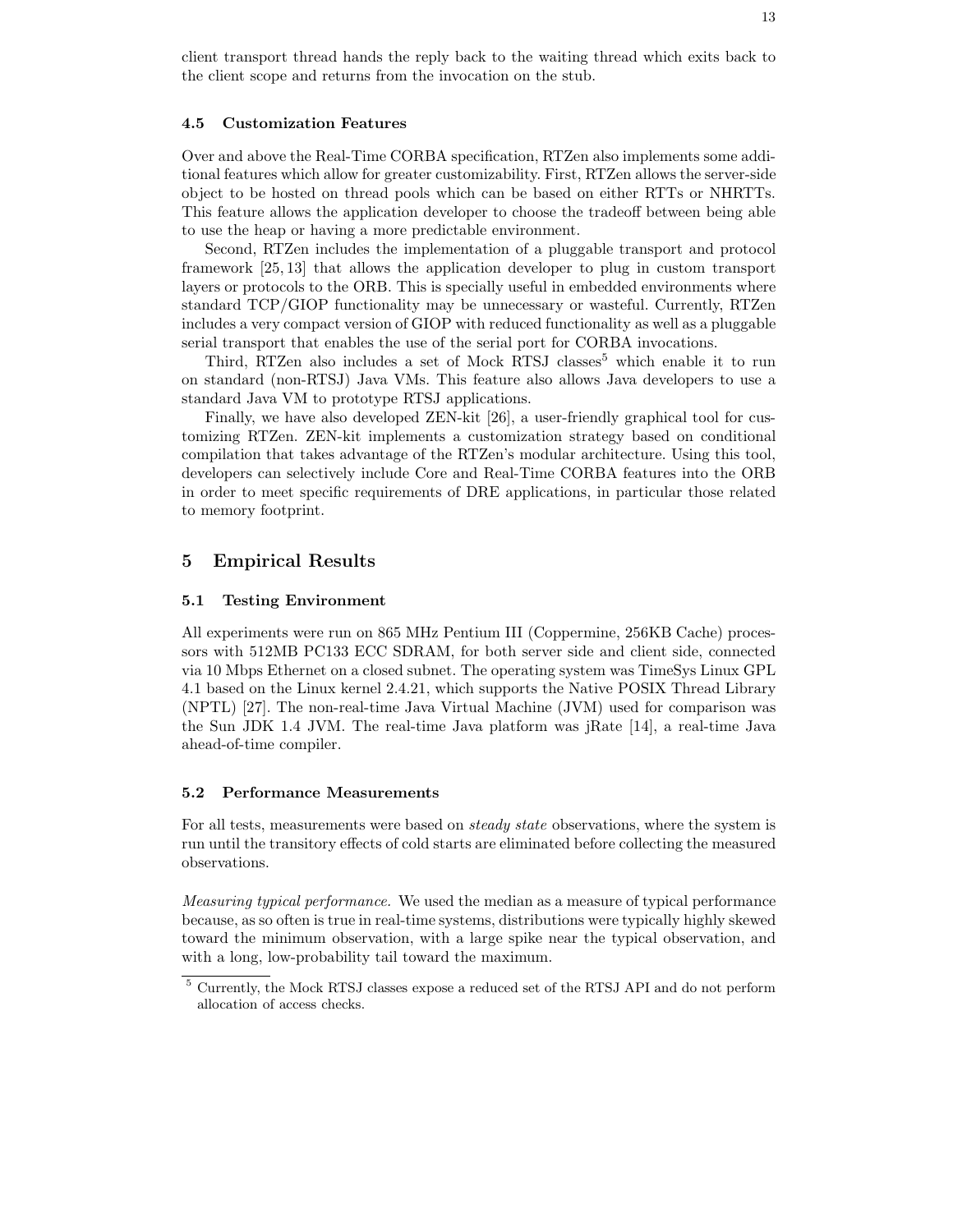client transport thread hands the reply back to the waiting thread which exits back to the client scope and returns from the invocation on the stub.

#### 4.5 Customization Features

Over and above the Real-Time CORBA specification, RTZen also implements some additional features which allow for greater customizability. First, RTZen allows the server-side object to be hosted on thread pools which can be based on either RTTs or NHRTTs. This feature allows the application developer to choose the tradeoff between being able to use the heap or having a more predictable environment.

Second, RTZen includes the implementation of a pluggable transport and protocol framework [25, 13] that allows the application developer to plug in custom transport layers or protocols to the ORB. This is specially useful in embedded environments where standard TCP/GIOP functionality may be unnecessary or wasteful. Currently, RTZen includes a very compact version of GIOP with reduced functionality as well as a pluggable serial transport that enables the use of the serial port for CORBA invocations.

Third, RTZen also includes a set of Mock RTSJ classes<sup>5</sup> which enable it to run on standard (non-RTSJ) Java VMs. This feature also allows Java developers to use a standard Java VM to prototype RTSJ applications.

Finally, we have also developed ZEN-kit [26], a user-friendly graphical tool for customizing RTZen. ZEN-kit implements a customization strategy based on conditional compilation that takes advantage of the RTZen's modular architecture. Using this tool, developers can selectively include Core and Real-Time CORBA features into the ORB in order to meet specific requirements of DRE applications, in particular those related to memory footprint.

# 5 Empirical Results

#### 5.1 Testing Environment

All experiments were run on 865 MHz Pentium III (Coppermine, 256KB Cache) processors with 512MB PC133 ECC SDRAM, for both server side and client side, connected via 10 Mbps Ethernet on a closed subnet. The operating system was TimeSys Linux GPL 4.1 based on the Linux kernel 2.4.21, which supports the Native POSIX Thread Library (NPTL) [27]. The non-real-time Java Virtual Machine (JVM) used for comparison was the Sun JDK 1.4 JVM. The real-time Java platform was jRate [14], a real-time Java ahead-of-time compiler.

#### 5.2 Performance Measurements

For all tests, measurements were based on *steady state* observations, where the system is run until the transitory effects of cold starts are eliminated before collecting the measured observations.

Measuring typical performance. We used the median as a measure of typical performance because, as so often is true in real-time systems, distributions were typically highly skewed toward the minimum observation, with a large spike near the typical observation, and with a long, low-probability tail toward the maximum.

<sup>5</sup> Currently, the Mock RTSJ classes expose a reduced set of the RTSJ API and do not perform allocation of access checks.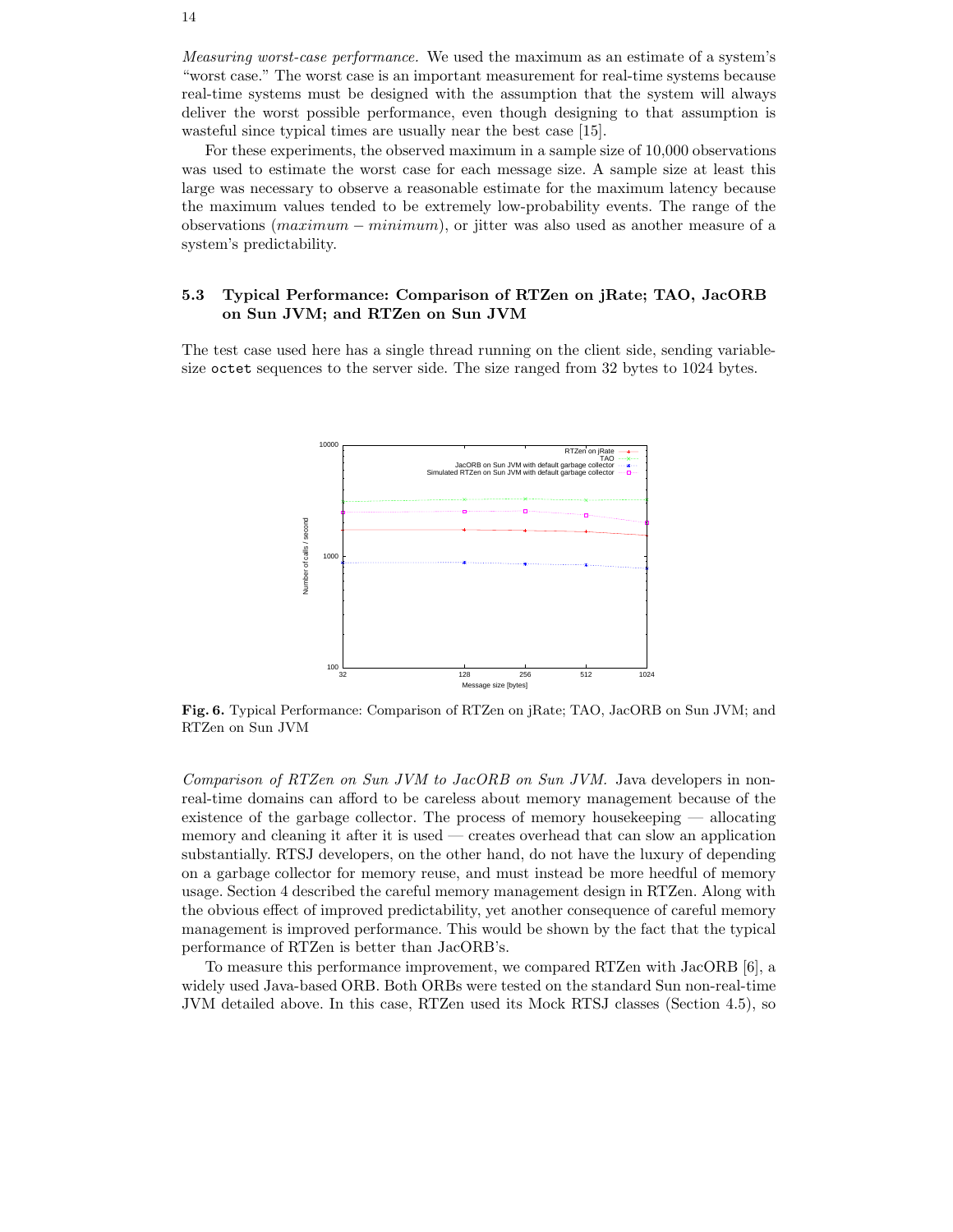Measuring worst-case performance. We used the maximum as an estimate of a system's "worst case." The worst case is an important measurement for real-time systems because real-time systems must be designed with the assumption that the system will always deliver the worst possible performance, even though designing to that assumption is wasteful since typical times are usually near the best case [15].

For these experiments, the observed maximum in a sample size of 10,000 observations was used to estimate the worst case for each message size. A sample size at least this large was necessary to observe a reasonable estimate for the maximum latency because the maximum values tended to be extremely low-probability events. The range of the observations (maximum − minimum), or jitter was also used as another measure of a system's predictability.

# 5.3 Typical Performance: Comparison of RTZen on jRate; TAO, JacORB on Sun JVM; and RTZen on Sun JVM

The test case used here has a single thread running on the client side, sending variablesize octet sequences to the server side. The size ranged from 32 bytes to 1024 bytes.



Fig. 6. Typical Performance: Comparison of RTZen on jRate; TAO, JacORB on Sun JVM; and RTZen on Sun JVM

Comparison of RTZen on Sun JVM to JacORB on Sun JVM. Java developers in nonreal-time domains can afford to be careless about memory management because of the existence of the garbage collector. The process of memory housekeeping — allocating memory and cleaning it after it is used — creates overhead that can slow an application substantially. RTSJ developers, on the other hand, do not have the luxury of depending on a garbage collector for memory reuse, and must instead be more heedful of memory usage. Section 4 described the careful memory management design in RTZen. Along with the obvious effect of improved predictability, yet another consequence of careful memory management is improved performance. This would be shown by the fact that the typical performance of RTZen is better than JacORB's.

To measure this performance improvement, we compared RTZen with JacORB [6], a widely used Java-based ORB. Both ORBs were tested on the standard Sun non-real-time JVM detailed above. In this case, RTZen used its Mock RTSJ classes (Section 4.5), so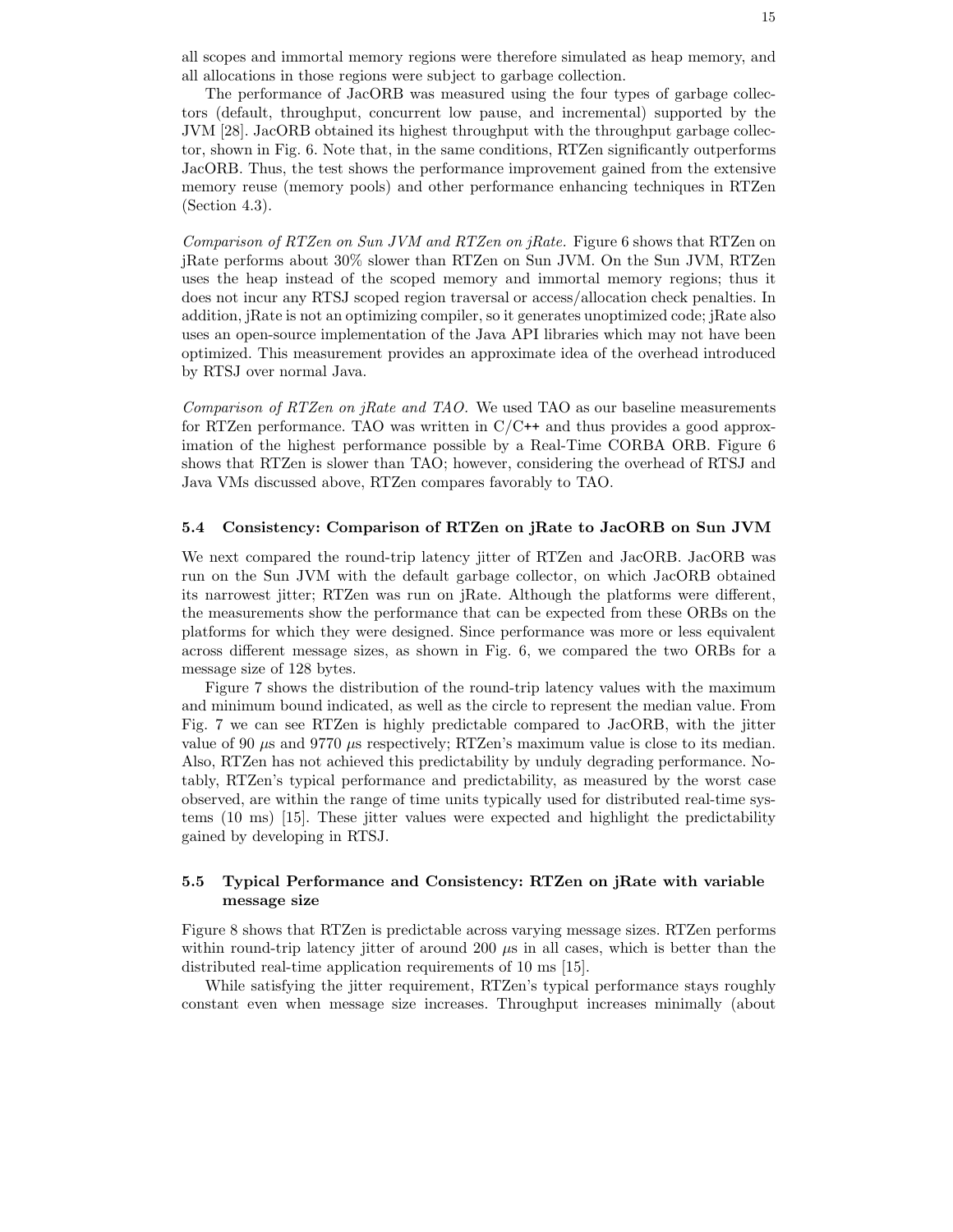all scopes and immortal memory regions were therefore simulated as heap memory, and all allocations in those regions were subject to garbage collection.

The performance of JacORB was measured using the four types of garbage collectors (default, throughput, concurrent low pause, and incremental) supported by the JVM [28]. JacORB obtained its highest throughput with the throughput garbage collector, shown in Fig. 6. Note that, in the same conditions, RTZen significantly outperforms JacORB. Thus, the test shows the performance improvement gained from the extensive memory reuse (memory pools) and other performance enhancing techniques in RTZen (Section 4.3).

Comparison of RTZen on Sun JVM and RTZen on jRate. Figure 6 shows that RTZen on jRate performs about 30% slower than RTZen on Sun JVM. On the Sun JVM, RTZen uses the heap instead of the scoped memory and immortal memory regions; thus it does not incur any RTSJ scoped region traversal or access/allocation check penalties. In addition, jRate is not an optimizing compiler, so it generates unoptimized code; jRate also uses an open-source implementation of the Java API libraries which may not have been optimized. This measurement provides an approximate idea of the overhead introduced by RTSJ over normal Java.

Comparison of RTZen on jRate and TAO. We used TAO as our baseline measurements for RTZen performance. TAO was written in  $C/C^{++}$  and thus provides a good approximation of the highest performance possible by a Real-Time CORBA ORB. Figure 6 shows that RTZen is slower than TAO; however, considering the overhead of RTSJ and Java VMs discussed above, RTZen compares favorably to TAO.

#### 5.4 Consistency: Comparison of RTZen on jRate to JacORB on Sun JVM

We next compared the round-trip latency jitter of RTZen and JacORB. JacORB was run on the Sun JVM with the default garbage collector, on which JacORB obtained its narrowest jitter; RTZen was run on jRate. Although the platforms were different, the measurements show the performance that can be expected from these ORBs on the platforms for which they were designed. Since performance was more or less equivalent across different message sizes, as shown in Fig. 6, we compared the two ORBs for a message size of 128 bytes.

Figure 7 shows the distribution of the round-trip latency values with the maximum and minimum bound indicated, as well as the circle to represent the median value. From Fig. 7 we can see RTZen is highly predictable compared to JacORB, with the jitter value of 90  $\mu$ s and 9770  $\mu$ s respectively; RTZen's maximum value is close to its median. Also, RTZen has not achieved this predictability by unduly degrading performance. Notably, RTZen's typical performance and predictability, as measured by the worst case observed, are within the range of time units typically used for distributed real-time systems (10 ms) [15]. These jitter values were expected and highlight the predictability gained by developing in RTSJ.

# 5.5 Typical Performance and Consistency: RTZen on jRate with variable message size

Figure 8 shows that RTZen is predictable across varying message sizes. RTZen performs within round-trip latency jitter of around 200  $\mu$ s in all cases, which is better than the distributed real-time application requirements of 10 ms [15].

While satisfying the jitter requirement, RTZen's typical performance stays roughly constant even when message size increases. Throughput increases minimally (about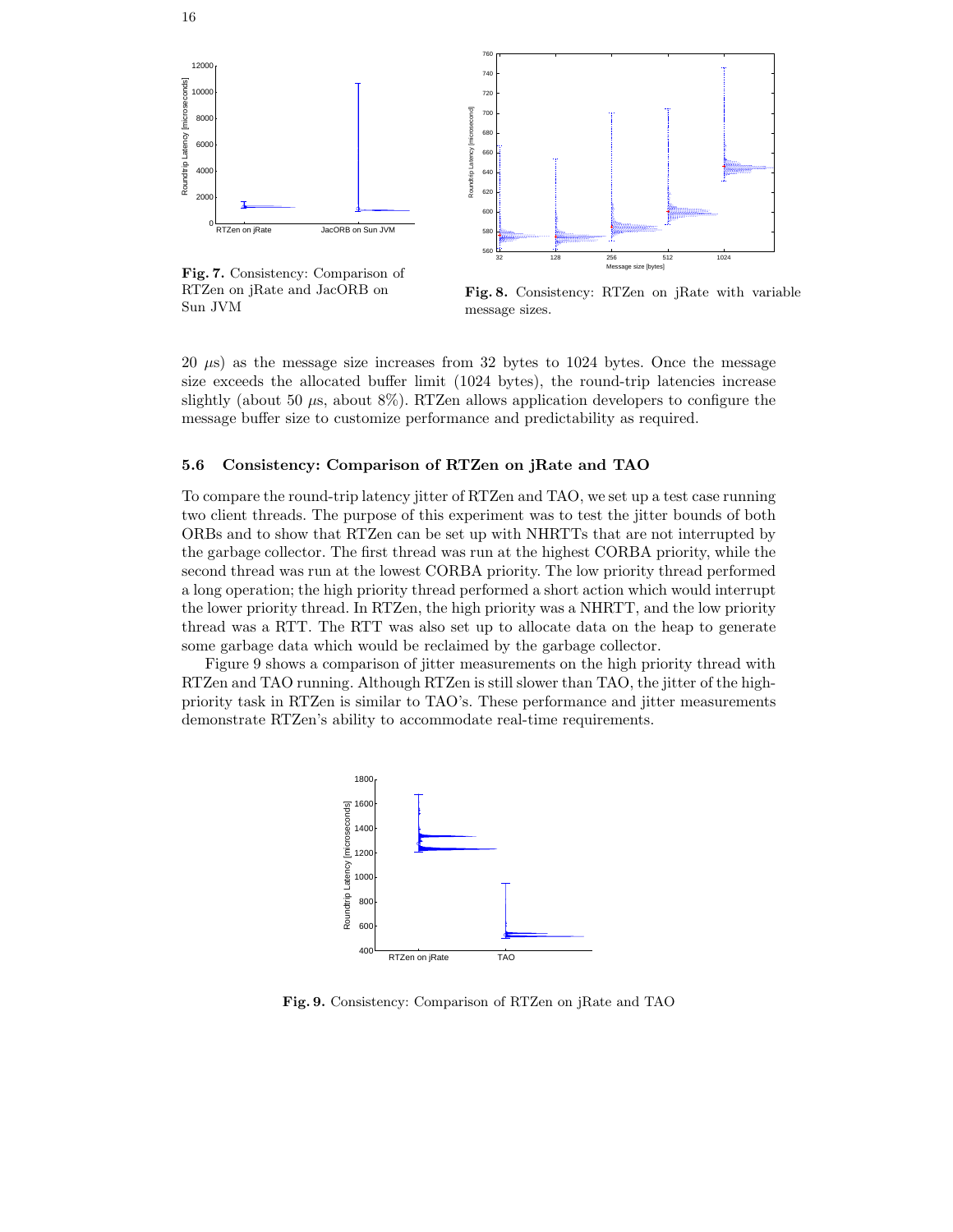



Fig. 7. Consistency: Comparison of RTZen on jRate and JacORB on Sun JVM

Fig. 8. Consistency: RTZen on jRate with variable message sizes.

20 µs) as the message size increases from 32 bytes to 1024 bytes. Once the message size exceeds the allocated buffer limit (1024 bytes), the round-trip latencies increase slightly (about 50  $\mu$ s, about 8%). RTZen allows application developers to configure the message buffer size to customize performance and predictability as required.

#### 5.6 Consistency: Comparison of RTZen on jRate and TAO

To compare the round-trip latency jitter of RTZen and TAO, we set up a test case running two client threads. The purpose of this experiment was to test the jitter bounds of both ORBs and to show that RTZen can be set up with NHRTTs that are not interrupted by the garbage collector. The first thread was run at the highest CORBA priority, while the second thread was run at the lowest CORBA priority. The low priority thread performed a long operation; the high priority thread performed a short action which would interrupt the lower priority thread. In RTZen, the high priority was a NHRTT, and the low priority thread was a RTT. The RTT was also set up to allocate data on the heap to generate some garbage data which would be reclaimed by the garbage collector.

Figure 9 shows a comparison of jitter measurements on the high priority thread with RTZen and TAO running. Although RTZen is still slower than TAO, the jitter of the highpriority task in RTZen is similar to TAO's. These performance and jitter measurements demonstrate RTZen's ability to accommodate real-time requirements.



Fig. 9. Consistency: Comparison of RTZen on jRate and TAO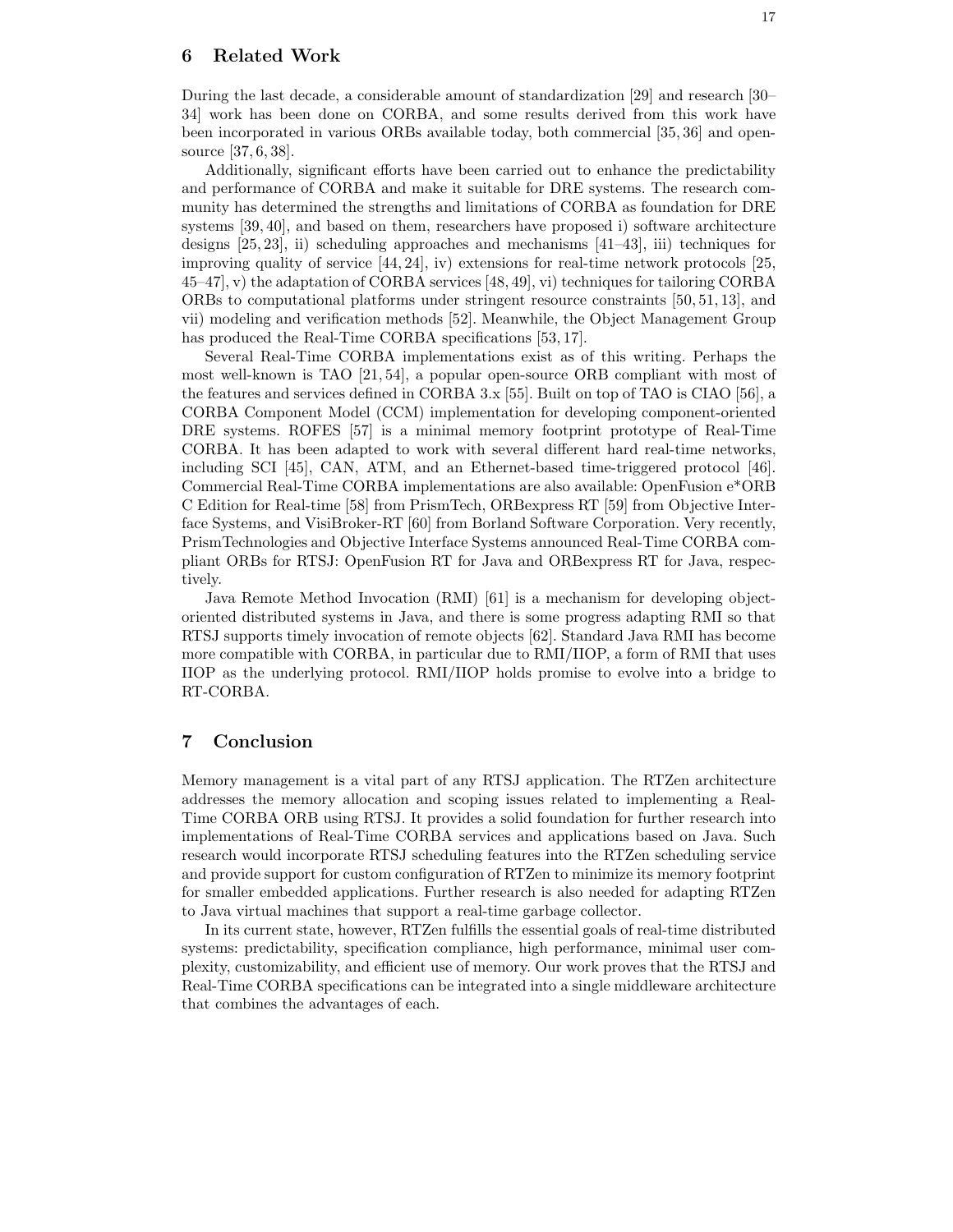# 6 Related Work

During the last decade, a considerable amount of standardization [29] and research [30– 34] work has been done on CORBA, and some results derived from this work have been incorporated in various ORBs available today, both commercial [35, 36] and opensource [37, 6, 38].

Additionally, significant efforts have been carried out to enhance the predictability and performance of CORBA and make it suitable for DRE systems. The research community has determined the strengths and limitations of CORBA as foundation for DRE systems [39, 40], and based on them, researchers have proposed i) software architecture designs [25, 23], ii) scheduling approaches and mechanisms [41–43], iii) techniques for improving quality of service [44, 24], iv) extensions for real-time network protocols [25, 45–47], v) the adaptation of CORBA services [48, 49], vi) techniques for tailoring CORBA ORBs to computational platforms under stringent resource constraints [50, 51, 13], and vii) modeling and verification methods [52]. Meanwhile, the Object Management Group has produced the Real-Time CORBA specifications [53, 17].

Several Real-Time CORBA implementations exist as of this writing. Perhaps the most well-known is TAO [21, 54], a popular open-source ORB compliant with most of the features and services defined in CORBA 3.x [55]. Built on top of TAO is CIAO [56], a CORBA Component Model (CCM) implementation for developing component-oriented DRE systems. ROFES [57] is a minimal memory footprint prototype of Real-Time CORBA. It has been adapted to work with several different hard real-time networks, including SCI [45], CAN, ATM, and an Ethernet-based time-triggered protocol [46]. Commercial Real-Time CORBA implementations are also available: OpenFusion e\*ORB C Edition for Real-time [58] from PrismTech, ORBexpress RT [59] from Objective Interface Systems, and VisiBroker-RT [60] from Borland Software Corporation. Very recently, PrismTechnologies and Objective Interface Systems announced Real-Time CORBA compliant ORBs for RTSJ: OpenFusion RT for Java and ORBexpress RT for Java, respectively.

Java Remote Method Invocation (RMI) [61] is a mechanism for developing objectoriented distributed systems in Java, and there is some progress adapting RMI so that RTSJ supports timely invocation of remote objects [62]. Standard Java RMI has become more compatible with CORBA, in particular due to RMI/IIOP, a form of RMI that uses IIOP as the underlying protocol. RMI/IIOP holds promise to evolve into a bridge to RT-CORBA.

# 7 Conclusion

Memory management is a vital part of any RTSJ application. The RTZen architecture addresses the memory allocation and scoping issues related to implementing a Real-Time CORBA ORB using RTSJ. It provides a solid foundation for further research into implementations of Real-Time CORBA services and applications based on Java. Such research would incorporate RTSJ scheduling features into the RTZen scheduling service and provide support for custom configuration of RTZen to minimize its memory footprint for smaller embedded applications. Further research is also needed for adapting RTZen to Java virtual machines that support a real-time garbage collector.

In its current state, however, RTZen fulfills the essential goals of real-time distributed systems: predictability, specification compliance, high performance, minimal user complexity, customizability, and efficient use of memory. Our work proves that the RTSJ and Real-Time CORBA specifications can be integrated into a single middleware architecture that combines the advantages of each.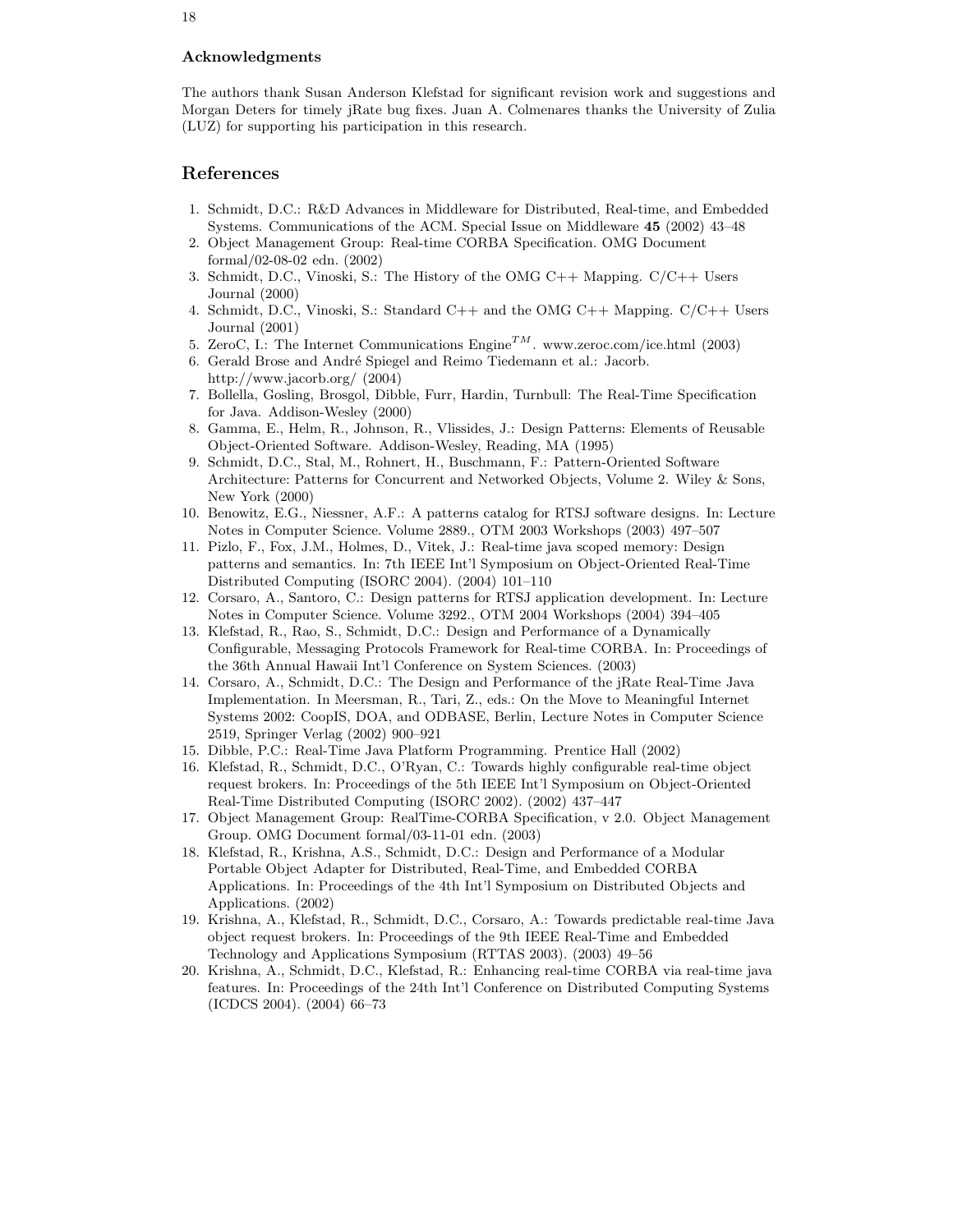# Acknowledgments

The authors thank Susan Anderson Klefstad for significant revision work and suggestions and Morgan Deters for timely jRate bug fixes. Juan A. Colmenares thanks the University of Zulia (LUZ) for supporting his participation in this research.

# References

- 1. Schmidt, D.C.: R&D Advances in Middleware for Distributed, Real-time, and Embedded Systems. Communications of the ACM. Special Issue on Middleware 45 (2002) 43–48
- 2. Object Management Group: Real-time CORBA Specification. OMG Document formal/02-08-02 edn. (2002)
- 3. Schmidt, D.C., Vinoski, S.: The History of the OMG C++ Mapping. C/C++ Users Journal (2000)
- 4. Schmidt, D.C., Vinoski, S.: Standard C++ and the OMG C++ Mapping. C/C++ Users Journal (2001)
- 5. ZeroC, I.: The Internet Communications  $\text{Engineering}^{TM}$ . www.zeroc.com/ice.html (2003)
- 6. Gerald Brose and André Spiegel and Reimo Tiedemann et al.: Jacorb. http://www.jacorb.org/ (2004)
- 7. Bollella, Gosling, Brosgol, Dibble, Furr, Hardin, Turnbull: The Real-Time Specification for Java. Addison-Wesley (2000)
- 8. Gamma, E., Helm, R., Johnson, R., Vlissides, J.: Design Patterns: Elements of Reusable Object-Oriented Software. Addison-Wesley, Reading, MA (1995)
- 9. Schmidt, D.C., Stal, M., Rohnert, H., Buschmann, F.: Pattern-Oriented Software Architecture: Patterns for Concurrent and Networked Objects, Volume 2. Wiley & Sons, New York (2000)
- 10. Benowitz, E.G., Niessner, A.F.: A patterns catalog for RTSJ software designs. In: Lecture Notes in Computer Science. Volume 2889., OTM 2003 Workshops (2003) 497–507
- 11. Pizlo, F., Fox, J.M., Holmes, D., Vitek, J.: Real-time java scoped memory: Design patterns and semantics. In: 7th IEEE Int'l Symposium on Object-Oriented Real-Time Distributed Computing (ISORC 2004). (2004) 101–110
- 12. Corsaro, A., Santoro, C.: Design patterns for RTSJ application development. In: Lecture Notes in Computer Science. Volume 3292., OTM 2004 Workshops (2004) 394–405
- 13. Klefstad, R., Rao, S., Schmidt, D.C.: Design and Performance of a Dynamically Configurable, Messaging Protocols Framework for Real-time CORBA. In: Proceedings of the 36th Annual Hawaii Int'l Conference on System Sciences. (2003)
- 14. Corsaro, A., Schmidt, D.C.: The Design and Performance of the jRate Real-Time Java Implementation. In Meersman, R., Tari, Z., eds.: On the Move to Meaningful Internet Systems 2002: CoopIS, DOA, and ODBASE, Berlin, Lecture Notes in Computer Science 2519, Springer Verlag (2002) 900–921
- 15. Dibble, P.C.: Real-Time Java Platform Programming. Prentice Hall (2002)
- 16. Klefstad, R., Schmidt, D.C., O'Ryan, C.: Towards highly configurable real-time object request brokers. In: Proceedings of the 5th IEEE Int'l Symposium on Object-Oriented Real-Time Distributed Computing (ISORC 2002). (2002) 437–447
- 17. Object Management Group: RealTime-CORBA Specification, v 2.0. Object Management Group. OMG Document formal/03-11-01 edn. (2003)
- 18. Klefstad, R., Krishna, A.S., Schmidt, D.C.: Design and Performance of a Modular Portable Object Adapter for Distributed, Real-Time, and Embedded CORBA Applications. In: Proceedings of the 4th Int'l Symposium on Distributed Objects and Applications. (2002)
- 19. Krishna, A., Klefstad, R., Schmidt, D.C., Corsaro, A.: Towards predictable real-time Java object request brokers. In: Proceedings of the 9th IEEE Real-Time and Embedded Technology and Applications Symposium (RTTAS 2003). (2003) 49–56
- 20. Krishna, A., Schmidt, D.C., Klefstad, R.: Enhancing real-time CORBA via real-time java features. In: Proceedings of the 24th Int'l Conference on Distributed Computing Systems (ICDCS 2004). (2004) 66–73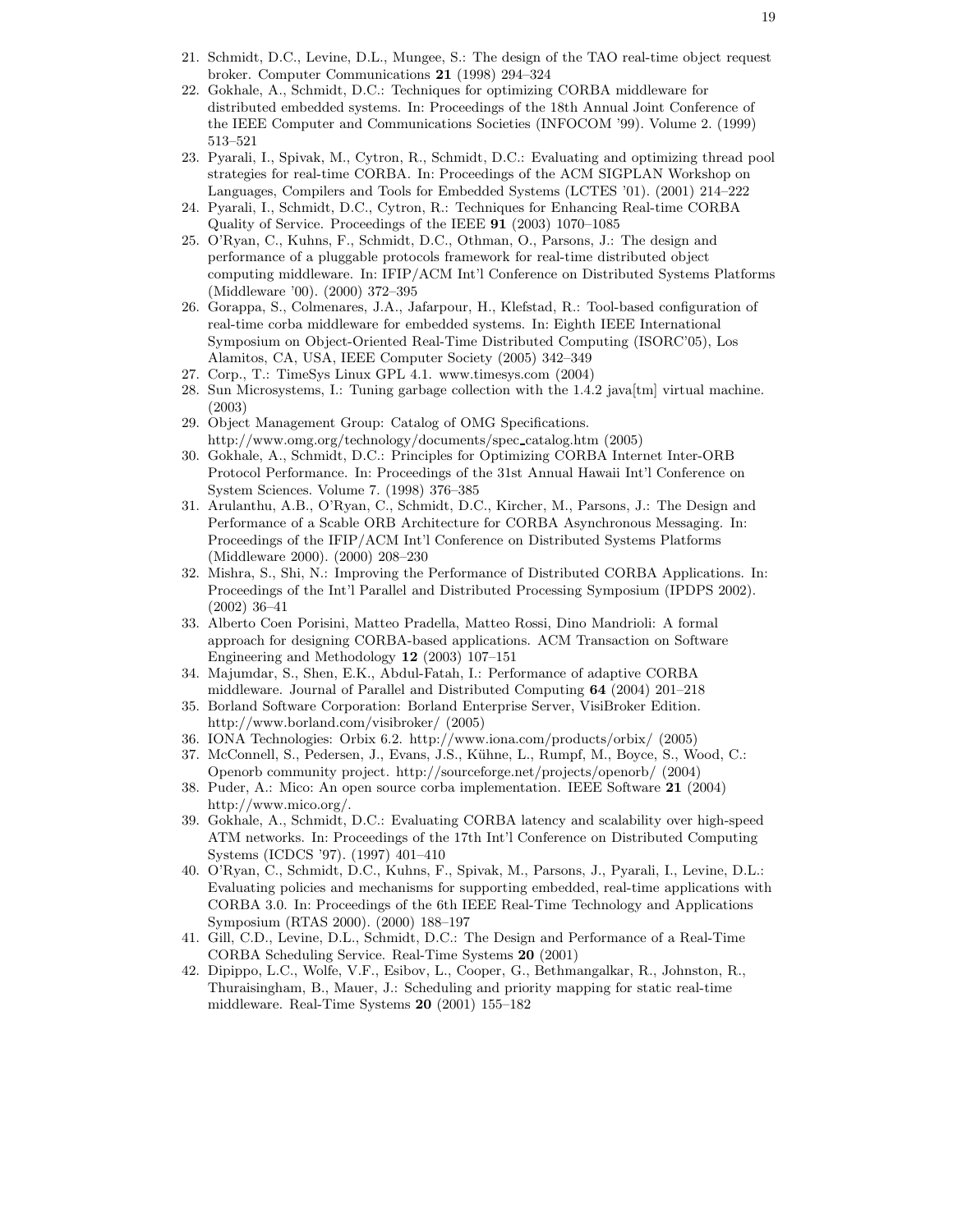- 21. Schmidt, D.C., Levine, D.L., Mungee, S.: The design of the TAO real-time object request broker. Computer Communications 21 (1998) 294–324
- 22. Gokhale, A., Schmidt, D.C.: Techniques for optimizing CORBA middleware for distributed embedded systems. In: Proceedings of the 18th Annual Joint Conference of the IEEE Computer and Communications Societies (INFOCOM '99). Volume 2. (1999) 513–521
- 23. Pyarali, I., Spivak, M., Cytron, R., Schmidt, D.C.: Evaluating and optimizing thread pool strategies for real-time CORBA. In: Proceedings of the ACM SIGPLAN Workshop on Languages, Compilers and Tools for Embedded Systems (LCTES '01). (2001) 214–222
- 24. Pyarali, I., Schmidt, D.C., Cytron, R.: Techniques for Enhancing Real-time CORBA Quality of Service. Proceedings of the IEEE 91 (2003) 1070–1085
- 25. O'Ryan, C., Kuhns, F., Schmidt, D.C., Othman, O., Parsons, J.: The design and performance of a pluggable protocols framework for real-time distributed object computing middleware. In: IFIP/ACM Int'l Conference on Distributed Systems Platforms (Middleware '00). (2000) 372–395
- 26. Gorappa, S., Colmenares, J.A., Jafarpour, H., Klefstad, R.: Tool-based configuration of real-time corba middleware for embedded systems. In: Eighth IEEE International Symposium on Object-Oriented Real-Time Distributed Computing (ISORC'05), Los Alamitos, CA, USA, IEEE Computer Society (2005) 342–349
- 27. Corp., T.: TimeSys Linux GPL 4.1. www.timesys.com (2004)
- 28. Sun Microsystems, I.: Tuning garbage collection with the 1.4.2 java[tm] virtual machine. (2003)
- 29. Object Management Group: Catalog of OMG Specifications. http://www.omg.org/technology/documents/spec catalog.htm (2005)
- 30. Gokhale, A., Schmidt, D.C.: Principles for Optimizing CORBA Internet Inter-ORB Protocol Performance. In: Proceedings of the 31st Annual Hawaii Int'l Conference on System Sciences. Volume 7. (1998) 376–385
- 31. Arulanthu, A.B., O'Ryan, C., Schmidt, D.C., Kircher, M., Parsons, J.: The Design and Performance of a Scable ORB Architecture for CORBA Asynchronous Messaging. In: Proceedings of the IFIP/ACM Int'l Conference on Distributed Systems Platforms (Middleware 2000). (2000) 208–230
- 32. Mishra, S., Shi, N.: Improving the Performance of Distributed CORBA Applications. In: Proceedings of the Int'l Parallel and Distributed Processing Symposium (IPDPS 2002). (2002) 36–41
- 33. Alberto Coen Porisini, Matteo Pradella, Matteo Rossi, Dino Mandrioli: A formal approach for designing CORBA-based applications. ACM Transaction on Software Engineering and Methodology 12 (2003) 107–151
- 34. Majumdar, S., Shen, E.K., Abdul-Fatah, I.: Performance of adaptive CORBA middleware. Journal of Parallel and Distributed Computing 64 (2004) 201–218
- 35. Borland Software Corporation: Borland Enterprise Server, VisiBroker Edition. http://www.borland.com/visibroker/ (2005)
- 36. IONA Technologies: Orbix 6.2. http://www.iona.com/products/orbix/ (2005)
- 37. McConnell, S., Pedersen, J., Evans, J.S., Kühne, L., Rumpf, M., Boyce, S., Wood, C.: Openorb community project. http://sourceforge.net/projects/openorb/ (2004)
- 38. Puder, A.: Mico: An open source corba implementation. IEEE Software 21 (2004) http://www.mico.org/.
- 39. Gokhale, A., Schmidt, D.C.: Evaluating CORBA latency and scalability over high-speed ATM networks. In: Proceedings of the 17th Int'l Conference on Distributed Computing Systems (ICDCS '97). (1997) 401–410
- 40. O'Ryan, C., Schmidt, D.C., Kuhns, F., Spivak, M., Parsons, J., Pyarali, I., Levine, D.L.: Evaluating policies and mechanisms for supporting embedded, real-time applications with CORBA 3.0. In: Proceedings of the 6th IEEE Real-Time Technology and Applications Symposium (RTAS 2000). (2000) 188–197
- 41. Gill, C.D., Levine, D.L., Schmidt, D.C.: The Design and Performance of a Real-Time CORBA Scheduling Service. Real-Time Systems 20 (2001)
- 42. Dipippo, L.C., Wolfe, V.F., Esibov, L., Cooper, G., Bethmangalkar, R., Johnston, R., Thuraisingham, B., Mauer, J.: Scheduling and priority mapping for static real-time middleware. Real-Time Systems 20 (2001) 155–182